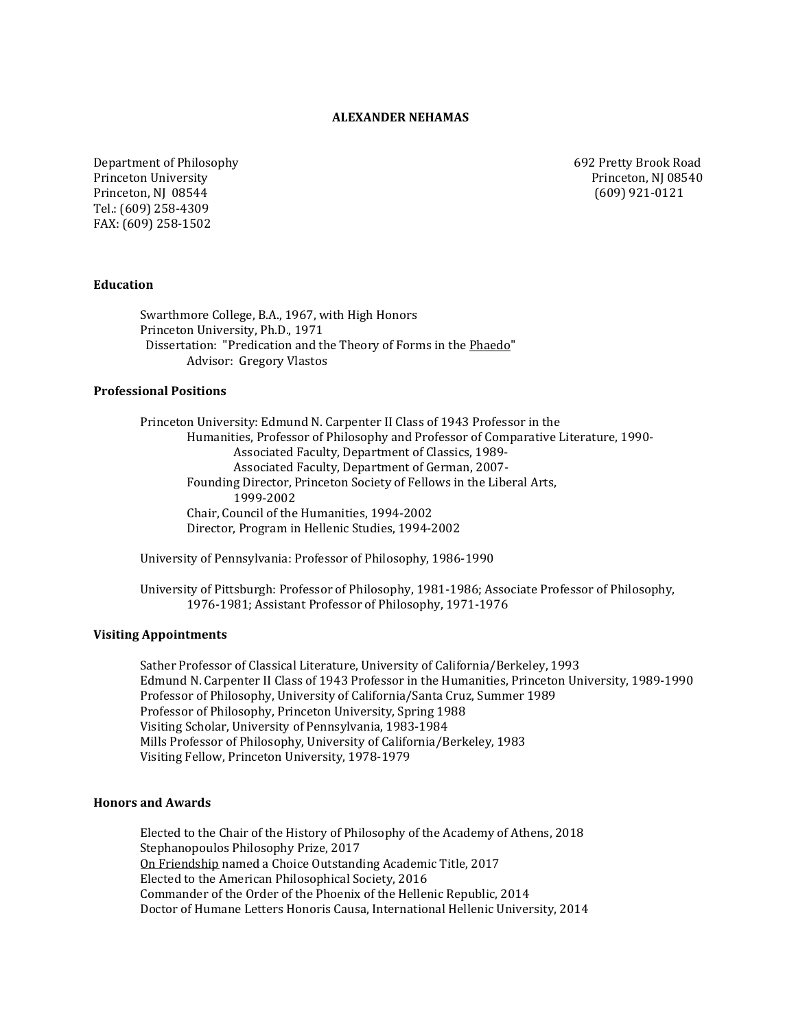### **ALEXANDER NEHAMAS**

Department of Philosophy 692 Pretty Brook Road<br>Princeton University 692 Pretty Brook Road<br>Princeton, NJ 08540 Princeton University<br>
Princeton, NJ 08544<br>
(609) 921-0121 Princeton, NJ 08544 Tel.: (609) 258-4309 FAX: (609) 258-1502

#### **Education**

Swarthmore College, B.A., 1967, with High Honors Princeton University, Ph.D., 1971 Dissertation: "Predication and the Theory of Forms in the Phaedo" Advisor: Gregory Vlastos

#### **Professional Positions**

Princeton University: Edmund N. Carpenter II Class of 1943 Professor in the Humanities, Professor of Philosophy and Professor of Comparative Literature, 1990- Associated Faculty, Department of Classics, 1989- Associated Faculty, Department of German, 2007- Founding Director, Princeton Society of Fellows in the Liberal Arts, 1999-2002 Chair, Council of the Humanities, 1994-2002 Director, Program in Hellenic Studies, 1994-2002

University of Pennsylvania: Professor of Philosophy, 1986-1990

University of Pittsburgh: Professor of Philosophy, 1981-1986; Associate Professor of Philosophy, 1976-1981; Assistant Professor of Philosophy, 1971-1976

### **Visiting Appointments**

Sather Professor of Classical Literature, University of California/Berkeley, 1993 Edmund N. Carpenter II Class of 1943 Professor in the Humanities, Princeton University, 1989-1990 Professor of Philosophy, University of California/Santa Cruz, Summer 1989 Professor of Philosophy, Princeton University, Spring 1988 Visiting Scholar, University of Pennsylvania, 1983-1984 Mills Professor of Philosophy, University of California/Berkeley, 1983 Visiting Fellow, Princeton University, 1978-1979

### **Honors and Awards**

Elected to the Chair of the History of Philosophy of the Academy of Athens, 2018 Stephanopoulos Philosophy Prize, 2017 On Friendship named a Choice Outstanding Academic Title, 2017 Elected to the American Philosophical Society, 2016 Commander of the Order of the Phoenix of the Hellenic Republic, 2014 Doctor of Humane Letters Honoris Causa, International Hellenic University, 2014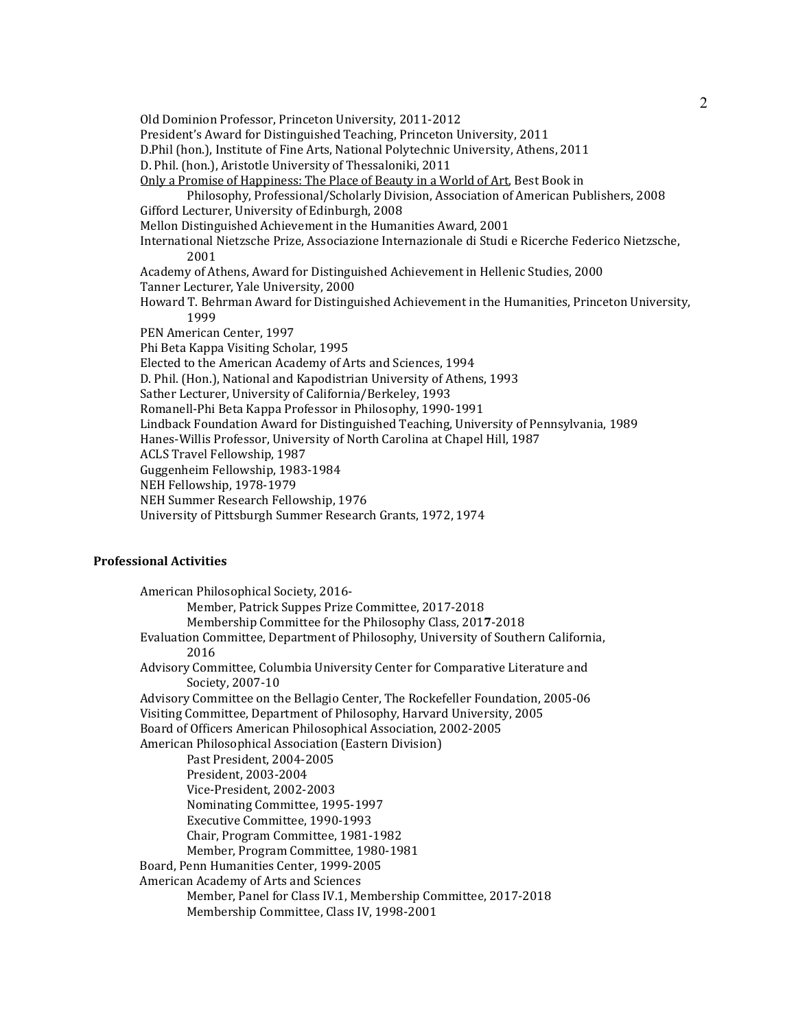Old Dominion Professor, Princeton University, 2011-2012 President's Award for Distinguished Teaching, Princeton University, 2011 D.Phil (hon.), Institute of Fine Arts, National Polytechnic University, Athens, 2011 D. Phil. (hon.), Aristotle University of Thessaloniki, 2011 Only a Promise of Happiness: The Place of Beauty in a World of Art, Best Book in Philosophy, Professional/Scholarly Division, Association of American Publishers, 2008 Gifford Lecturer, University of Edinburgh, 2008 Mellon Distinguished Achievement in the Humanities Award, 2001 International Nietzsche Prize, Associazione Internazionale di Studi e Ricerche Federico Nietzsche, 2001 Academy of Athens, Award for Distinguished Achievement in Hellenic Studies, 2000 Tanner Lecturer, Yale University, 2000 Howard T. Behrman Award for Distinguished Achievement in the Humanities, Princeton University, 1999 PEN American Center, 1997 Phi Beta Kappa Visiting Scholar, 1995 Elected to the American Academy of Arts and Sciences, 1994 D. Phil. (Hon.), National and Kapodistrian University of Athens, 1993 Sather Lecturer, University of California/Berkeley, 1993 Romanell-Phi Beta Kappa Professor in Philosophy, 1990-1991 Lindback Foundation Award for Distinguished Teaching, University of Pennsylvania, 1989 Hanes-Willis Professor, University of North Carolina at Chapel Hill, 1987 ACLS Travel Fellowship, 1987 Guggenheim Fellowship, 1983-1984 NEH Fellowship, 1978-1979 NEH Summer Research Fellowship, 1976 University of Pittsburgh Summer Research Grants, 1972, 1974

# **Professional Activities**

American Philosophical Society, 2016- Member, Patrick Suppes Prize Committee, 2017-2018 Membership Committee for the Philosophy Class, 201**7**-2018 Evaluation Committee, Department of Philosophy, University of Southern California, 2016 Advisory Committee, Columbia University Center for Comparative Literature and Society, 2007-10 Advisory Committee on the Bellagio Center, The Rockefeller Foundation, 2005-06 Visiting Committee, Department of Philosophy, Harvard University, 2005 Board of Officers American Philosophical Association, 2002-2005 American Philosophical Association (Eastern Division) Past President, 2004-2005 President, 2003-2004 Vice-President, 2002-2003 Nominating Committee, 1995-1997 Executive Committee, 1990-1993 Chair, Program Committee, 1981-1982 Member, Program Committee, 1980-1981 Board, Penn Humanities Center, 1999-2005 American Academy of Arts and Sciences Member, Panel for Class IV.1, Membership Committee, 2017-2018 Membership Committee, Class IV, 1998-2001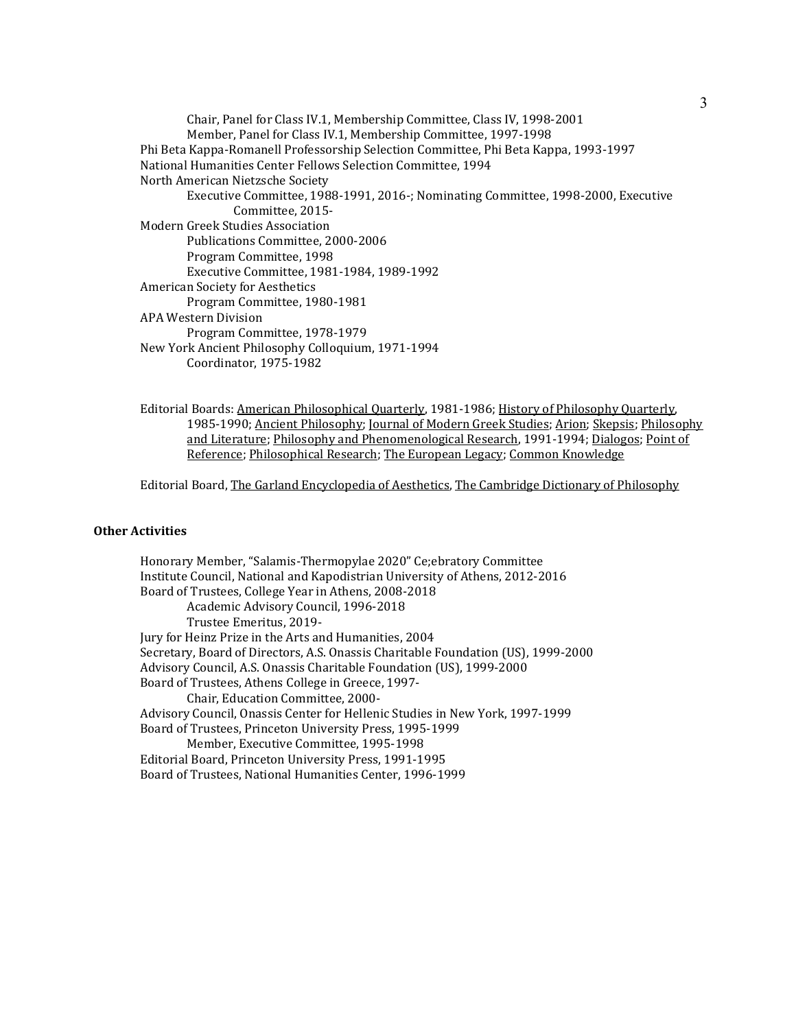| Chair, Panel for Class IV.1, Membership Committee, Class IV, 1998-2001               |
|--------------------------------------------------------------------------------------|
| Member, Panel for Class IV.1, Membership Committee, 1997-1998                        |
| Phi Beta Kappa-Romanell Professorship Selection Committee, Phi Beta Kappa, 1993-1997 |
| National Humanities Center Fellows Selection Committee, 1994                         |
| North American Nietzsche Society                                                     |
| Executive Committee, 1988-1991, 2016-; Nominating Committee, 1998-2000, Executive    |
| Committee, 2015-                                                                     |
| <b>Modern Greek Studies Association</b>                                              |
| Publications Committee, 2000-2006                                                    |
| Program Committee, 1998                                                              |
| Executive Committee, 1981-1984, 1989-1992                                            |
| American Society for Aesthetics                                                      |
| Program Committee, 1980-1981                                                         |
| APA Western Division                                                                 |
| Program Committee, 1978-1979                                                         |
| New York Ancient Philosophy Colloquium, 1971-1994                                    |
| Coordinator, 1975-1982                                                               |

 Editorial Boards: American Philosophical Quarterly, 1981-1986; History of Philosophy Quarterly, 1985-1990; Ancient Philosophy; Journal of Modern Greek Studies; Arion; Skepsis; Philosophy and Literature; Philosophy and Phenomenological Research, 1991-1994; Dialogos; Point of Reference; Philosophical Research; The European Legacy; Common Knowledge

Editorial Board, The Garland Encyclopedia of Aesthetics, The Cambridge Dictionary of Philosophy

# **Other Activities**

Honorary Member, "Salamis-Thermopylae 2020" Ce;ebratory Committee Institute Council, National and Kapodistrian University of Athens, 2012-2016 Board of Trustees, College Year in Athens, 2008-2018 Academic Advisory Council, 1996-2018 Trustee Emeritus, 2019- Jury for Heinz Prize in the Arts and Humanities, 2004 Secretary, Board of Directors, A.S. Onassis Charitable Foundation (US), 1999-2000 Advisory Council, A.S. Onassis Charitable Foundation (US), 1999-2000 Board of Trustees, Athens College in Greece, 1997- Chair, Education Committee, 2000- Advisory Council, Onassis Center for Hellenic Studies in New York, 1997-1999 Board of Trustees, Princeton University Press, 1995-1999 Member, Executive Committee, 1995-1998 Editorial Board, Princeton University Press, 1991-1995 Board of Trustees, National Humanities Center, 1996-1999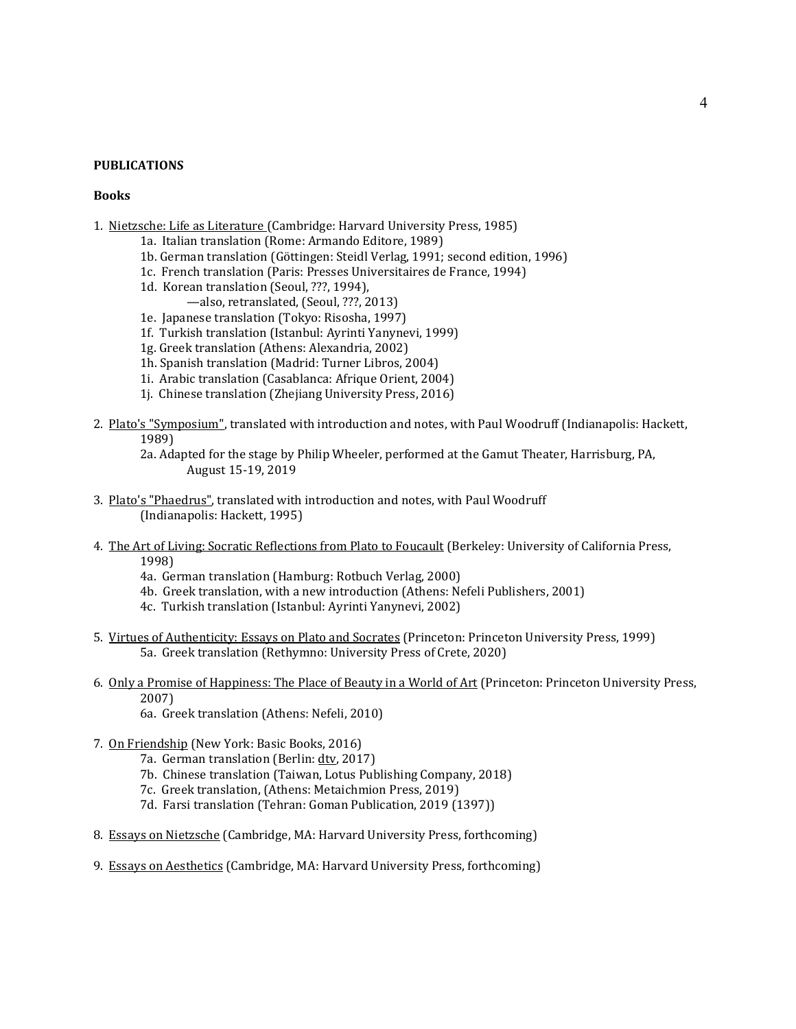### **PUBLICATIONS**

#### **Books**

- 1. Nietzsche: Life as Literature (Cambridge: Harvard University Press, 1985)
	- 1a. Italian translation (Rome: Armando Editore, 1989)
	- 1b. German translation (Göttingen: Steidl Verlag, 1991; second edition, 1996)
	- 1c. French translation (Paris: Presses Universitaires de France, 1994)
	- 1d. Korean translation (Seoul, ???, 1994),
		- —also, retranslated, (Seoul, ???, 2013)
	- 1e. Japanese translation (Tokyo: Risosha, 1997)
	- 1f. Turkish translation (Istanbul: Ayrinti Yanynevi, 1999)
	- 1g. Greek translation (Athens: Alexandria, 2002)
	- 1h. Spanish translation (Madrid: Turner Libros, 2004)
	- 1i. Arabic translation (Casablanca: Afrique Orient, 2004)
	- 1j. Chinese translation (Zhejiang University Press, 2016)
- 2. Plato's "Symposium", translated with introduction and notes, with Paul Woodruff (Indianapolis: Hackett, 1989)
	- 2a. Adapted for the stage by Philip Wheeler, performed at the Gamut Theater, Harrisburg, PA, August 15-19, 2019
- 3. Plato's "Phaedrus", translated with introduction and notes, with Paul Woodruff (Indianapolis: Hackett, 1995)
- 4. The Art of Living: Socratic Reflections from Plato to Foucault (Berkeley: University of California Press, 1998)
	- 4a. German translation (Hamburg: Rotbuch Verlag, 2000)
	- 4b. Greek translation, with a new introduction (Athens: Nefeli Publishers, 2001)
	- 4c. Turkish translation (Istanbul: Ayrinti Yanynevi, 2002)
- 5. Virtues of Authenticity: Essays on Plato and Socrates (Princeton: Princeton University Press, 1999) 5a. Greek translation (Rethymno: University Press of Crete, 2020)
- 6. Only a Promise of Happiness: The Place of Beauty in a World of Art (Princeton: Princeton University Press, 2007)
	- 6a. Greek translation (Athens: Nefeli, 2010)
- 7. On Friendship (New York: Basic Books, 2016)
	- 7a. German translation (Berlin: dtv, 2017)
	- 7b. Chinese translation (Taiwan, Lotus Publishing Company, 2018)
	- 7c. Greek translation, (Athens: Metaichmion Press, 2019)
	- 7d. Farsi translation (Tehran: Goman Publication, 2019 (1397))
- 8. Essays on Nietzsche (Cambridge, MA: Harvard University Press, forthcoming)
- 9. Essays on Aesthetics (Cambridge, MA: Harvard University Press, forthcoming)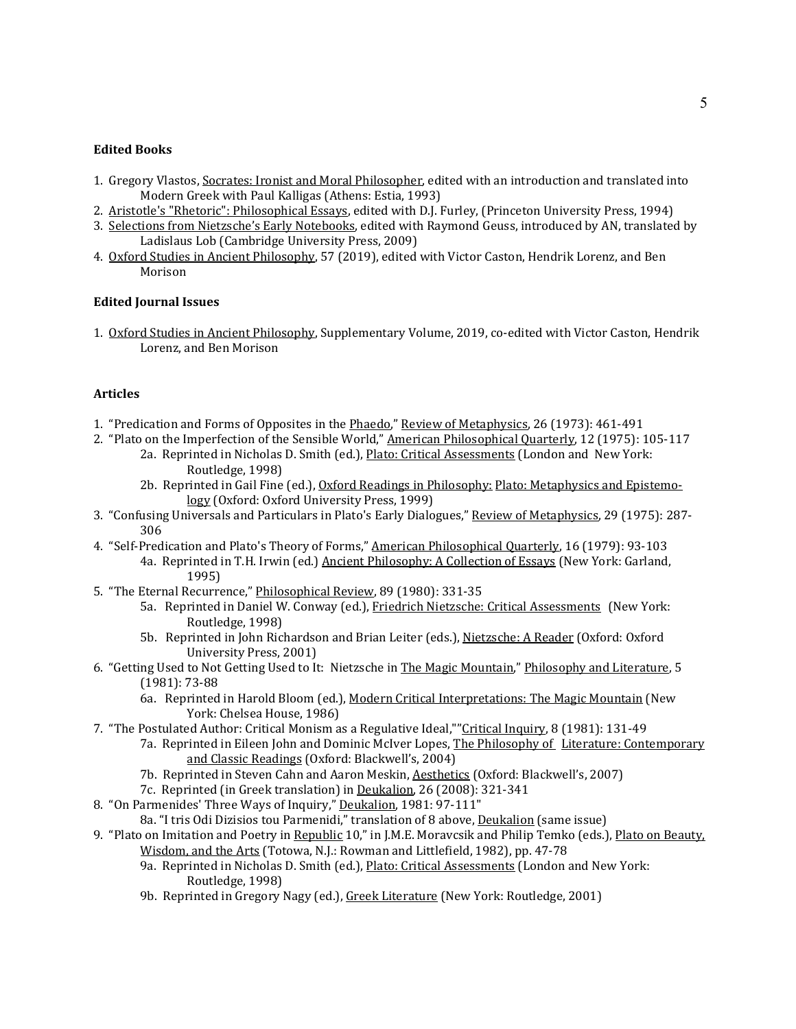## **Edited Books**

- 1. Gregory Vlastos, Socrates: Ironist and Moral Philosopher, edited with an introduction and translated into Modern Greek with Paul Kalligas (Athens: Estia, 1993)
- 2. Aristotle's "Rhetoric": Philosophical Essays, edited with D.J. Furley, (Princeton University Press, 1994)
- 3. Selections from Nietzsche's Early Notebooks, edited with Raymond Geuss, introduced by AN, translated by Ladislaus Lob (Cambridge University Press, 2009)
- 4. Oxford Studies in Ancient Philosophy, 57 (2019), edited with Victor Caston, Hendrik Lorenz, and Ben Morison

# **Edited Journal Issues**

1. Oxford Studies in Ancient Philosophy, Supplementary Volume, 2019, co-edited with Victor Caston, Hendrik Lorenz, and Ben Morison

# **Articles**

- 1. "Predication and Forms of Opposites in the Phaedo," Review of Metaphysics, 26 (1973): 461-491
- 2. "Plato on the Imperfection of the Sensible World," American Philosophical Quarterly, 12 (1975): 105-117
	- 2a. Reprinted in Nicholas D. Smith (ed.), *Plato: Critical Assessments* (London and New York: Routledge, 1998)
	- 2b. Reprinted in Gail Fine (ed.), Oxford Readings in Philosophy: Plato: Metaphysics and Epistemology (Oxford: Oxford University Press, 1999)
- 3. "Confusing Universals and Particulars in Plato's Early Dialogues," Review of Metaphysics, 29 (1975): 287- 306
- 4. "Self-Predication and Plato's Theory of Forms," American Philosophical Quarterly, 16 (1979): 93-103 4a. Reprinted in T.H. Irwin (ed.) Ancient Philosophy: A Collection of Essays (New York: Garland, 1995)
- 5. "The Eternal Recurrence," Philosophical Review, 89 (1980): 331-35
	- 5a. Reprinted in Daniel W. Conway (ed.), Friedrich Nietzsche: Critical Assessments (New York: Routledge, 1998)
	- 5b. Reprinted in John Richardson and Brian Leiter (eds.), Nietzsche: A Reader (Oxford: Oxford University Press, 2001)
- 6. "Getting Used to Not Getting Used to It: Nietzsche in The Magic Mountain," Philosophy and Literature, 5 (1981): 73-88
	- 6a. Reprinted in Harold Bloom (ed.), Modern Critical Interpretations: The Magic Mountain (New York: Chelsea House, 1986)
- 7. "The Postulated Author: Critical Monism as a Regulative Ideal,""Critical Inquiry, 8 (1981): 131-49
	- 7a. Reprinted in Eileen John and Dominic McIver Lopes, The Philosophy of Literature: Contemporary and Classic Readings (Oxford: Blackwell's, 2004)
	- 7b. Reprinted in Steven Cahn and Aaron Meskin, Aesthetics (Oxford: Blackwell's, 2007)
	- 7c. Reprinted (in Greek translation) in Deukalion, 26 (2008): 321-341
- 8. "On Parmenides' Three Ways of Inquiry," Deukalion, 1981: 97-111"
	- 8a. "I tris Odi Dizisios tou Parmenidi," translation of 8 above, Deukalion (same issue)
- 9. "Plato on Imitation and Poetry in Republic 10," in J.M.E. Moravcsik and Philip Temko (eds.), Plato on Beauty, Wisdom, and the Arts (Totowa, N.J.: Rowman and Littlefield, 1982), pp. 47-78
	- 9a. Reprinted in Nicholas D. Smith (ed.), Plato: Critical Assessments (London and New York: Routledge, 1998)
	- 9b. Reprinted in Gregory Nagy (ed.), Greek Literature (New York: Routledge, 2001)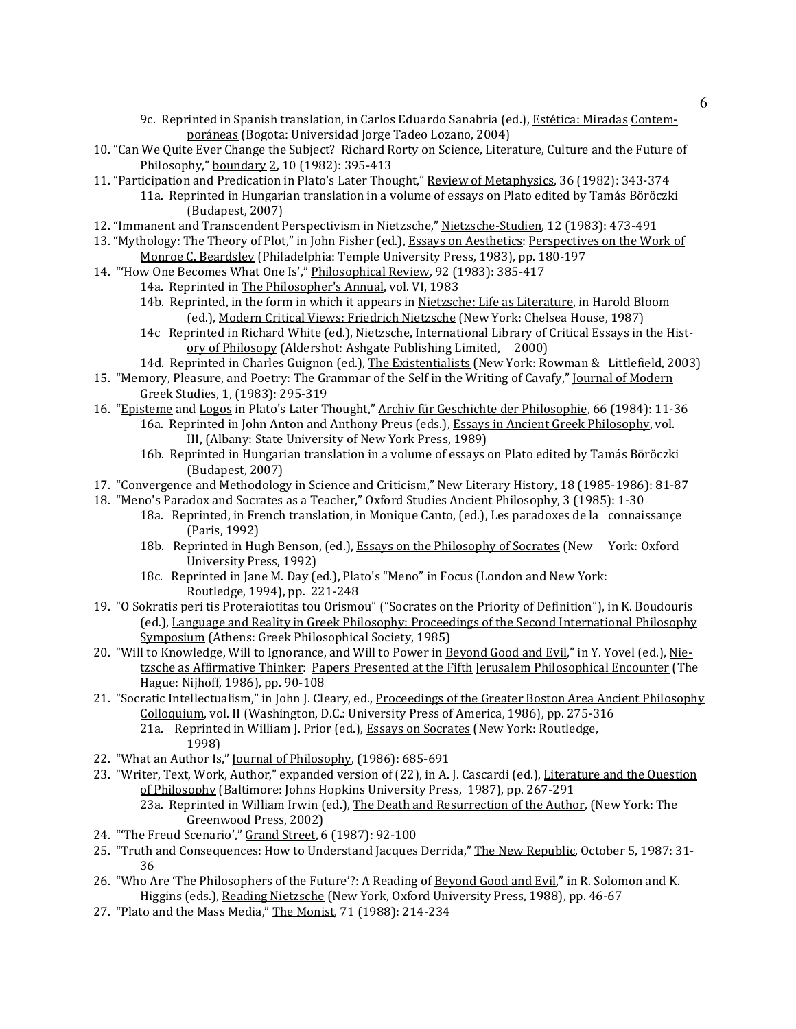- 9c. Reprinted in Spanish translation, in Carlos Eduardo Sanabria (ed.), Estética: Miradas Contemporáneas (Bogota: Universidad Jorge Tadeo Lozano, 2004)
- 10. "Can We Quite Ever Change the Subject? Richard Rorty on Science, Literature, Culture and the Future of Philosophy," boundary 2, 10 (1982): 395-413
- 11. "Participation and Predication in Plato's Later Thought," Review of Metaphysics, 36 (1982): 343-374
	- 11a. Reprinted in Hungarian translation in a volume of essays on Plato edited by Tamás Böröczki (Budapest, 2007)
- 12. "Immanent and Transcendent Perspectivism in Nietzsche," Nietzsche-Studien, 12 (1983): 473-491
- 13. "Mythology: The Theory of Plot," in John Fisher (ed.), Essays on Aesthetics: Perspectives on the Work of Monroe C. Beardsley (Philadelphia: Temple University Press, 1983), pp. 180-197
- 14. "'How One Becomes What One Is'," Philosophical Review, 92 (1983): 385-417
	- 14a. Reprinted in The Philosopher's Annual, vol. VI, 1983
		- 14b. Reprinted, in the form in which it appears in Nietzsche: Life as Literature, in Harold Bloom (ed.), Modern Critical Views: Friedrich Nietzsche (New York: Chelsea House, 1987)
		- 14c Reprinted in Richard White (ed.), Nietzsche, International Library of Critical Essays in the History of Philosopy (Aldershot: Ashgate Publishing Limited, 2000)
		- 14d. Reprinted in Charles Guignon (ed.), The Existentialists (New York: Rowman & Littlefield, 2003)
- 15. "Memory, Pleasure, and Poetry: The Grammar of the Self in the Writing of Cavafy," Journal of Modern Greek Studies, 1, (1983): 295-319
- 16. "Episteme and Logos in Plato's Later Thought," Archiv für Geschichte der Philosophie, 66 (1984): 11-36 16a. Reprinted in John Anton and Anthony Preus (eds.), Essays in Ancient Greek Philosophy, vol. III, (Albany: State University of New York Press, 1989)
	- 16b. Reprinted in Hungarian translation in a volume of essays on Plato edited by Tamás Böröczki (Budapest, 2007)
- 17. "Convergence and Methodology in Science and Criticism," New Literary History, 18 (1985-1986): 81-87
- 18. "Meno's Paradox and Socrates as a Teacher," Oxford Studies Ancient Philosophy, 3 (1985): 1-30
	- 18a. Reprinted, in French translation, in Monique Canto, (ed.), Les paradoxes de la connaissance (Paris, 1992)
	- 18b. Reprinted in Hugh Benson, (ed.), Essays on the Philosophy of Socrates (New York: Oxford University Press, 1992)
	- 18c. Reprinted in Jane M. Day (ed.), Plato's "Meno" in Focus (London and New York: Routledge, 1994), pp. 221-248
- 19. "O Sokratis peri tis Proteraiotitas tou Orismou" ("Socrates on the Priority of Definition"), in K. Boudouris (ed.), Language and Reality in Greek Philosophy: Proceedings of the Second International Philosophy Symposium (Athens: Greek Philosophical Society, 1985)
- 20. "Will to Knowledge, Will to Ignorance, and Will to Power in Beyond Good and Evil," in Y. Yovel (ed.), Nietzsche as Affirmative Thinker: Papers Presented at the Fifth Jerusalem Philosophical Encounter (The Hague: Nijhoff, 1986), pp. 90-108
- 21. "Socratic Intellectualism," in John J. Cleary, ed., Proceedings of the Greater Boston Area Ancient Philosophy Colloquium, vol. II (Washington, D.C.: University Press of America, 1986), pp. 275-316 21a. Reprinted in William J. Prior (ed.), **Essays on Socrates (New York: Routledge**, 1998)
- 22. "What an Author Is," Journal of Philosophy, (1986): 685-691
- 23. "Writer, Text, Work, Author," expanded version of (22), in A. J. Cascardi (ed.), Literature and the Question of Philosophy (Baltimore: Johns Hopkins University Press, 1987), pp. 267-291 23a. Reprinted in William Irwin (ed.), The Death and Resurrection of the Author, (New York: The Greenwood Press, 2002)
- 24. "'The Freud Scenario'," Grand Street, 6 (1987): 92-100
- 25. "Truth and Consequences: How to Understand Jacques Derrida," The New Republic, October 5, 1987: 31- 36
- 26. "Who Are 'The Philosophers of the Future'?: A Reading of Beyond Good and Evil," in R. Solomon and K. Higgins (eds.), Reading Nietzsche (New York, Oxford University Press, 1988), pp. 46-67
- 27. "Plato and the Mass Media," The Monist, 71 (1988): 214-234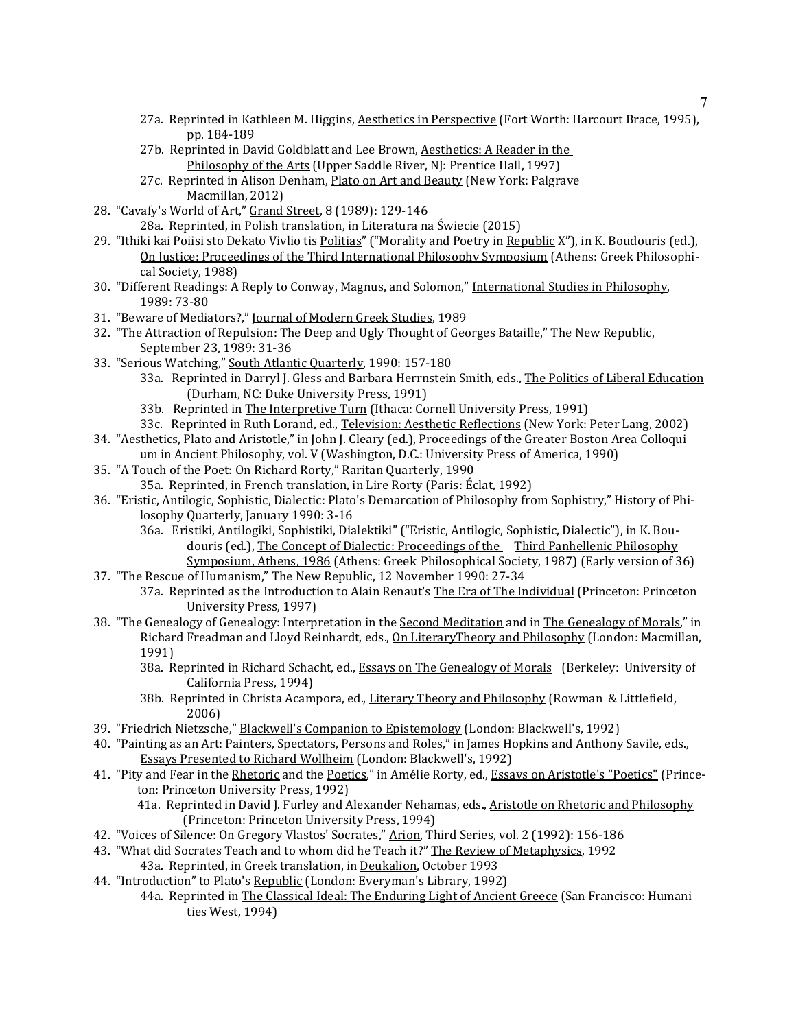- 27a. Reprinted in Kathleen M. Higgins, Aesthetics in Perspective (Fort Worth: Harcourt Brace, 1995), pp. 184-189
- 27b. Reprinted in David Goldblatt and Lee Brown, Aesthetics: A Reader in the Philosophy of the Arts (Upper Saddle River, NJ: Prentice Hall, 1997)
- 27c. Reprinted in Alison Denham, Plato on Art and Beauty (New York: Palgrave Macmillan, 2012)
- 28. "Cavafy's World of Art," Grand Street, 8 (1989): 129-146
	- 28a. Reprinted, in Polish translation, in Literatura na Świecie (2015)
- 29. "Ithiki kai Poiisi sto Dekato Vivlio tis Politias" ("Morality and Poetry in Republic X"), in K. Boudouris (ed.), On Justice: Proceedings of the Third International Philosophy Symposium (Athens: Greek Philosophical Society, 1988)
- 30. "Different Readings: A Reply to Conway, Magnus, and Solomon," International Studies in Philosophy, 1989: 73-80
- 31. "Beware of Mediators?," Journal of Modern Greek Studies, 1989
- 32. "The Attraction of Repulsion: The Deep and Ugly Thought of Georges Bataille," The New Republic, September 23, 1989: 31-36
- 33. "Serious Watching," South Atlantic Quarterly, 1990: 157-180
	- 33a. Reprinted in Darryl J. Gless and Barbara Herrnstein Smith, eds., The Politics of Liberal Education (Durham, NC: Duke University Press, 1991)
	- 33b. Reprinted in The Interpretive Turn (Ithaca: Cornell University Press, 1991)
	- 33c. Reprinted in Ruth Lorand, ed., Television: Aesthetic Reflections (New York: Peter Lang, 2002)
- 34. "Aesthetics, Plato and Aristotle," in John J. Cleary (ed.), Proceedings of the Greater Boston Area Colloqui um in Ancient Philosophy, vol. V (Washington, D.C.: University Press of America, 1990)
- 35. "A Touch of the Poet: On Richard Rorty," Raritan Quarterly, 1990 35a. Reprinted, in French translation, in Lire Rorty (Paris: Éclat, 1992)
- 36. "Eristic, Antilogic, Sophistic, Dialectic: Plato's Demarcation of Philosophy from Sophistry," History of Philosophy Quarterly, January 1990: 3-16
	- 36a. Eristiki, Antilogiki, Sophistiki, Dialektiki" ("Eristic, Antilogic, Sophistic, Dialectic"), in K. Boudouris (ed.), The Concept of Dialectic: Proceedings of the Third Panhellenic Philosophy Symposium, Athens, 1986 (Athens: Greek Philosophical Society, 1987) (Early version of 36)
- 37. "The Rescue of Humanism," The New Republic, 12 November 1990: 27-34 37a. Reprinted as the Introduction to Alain Renaut's The Era of The Individual (Princeton: Princeton
- University Press, 1997) 38. "The Genealogy of Genealogy: Interpretation in the Second Meditation and in The Genealogy of Morals," in Richard Freadman and Lloyd Reinhardt, eds., On LiteraryTheory and Philosophy (London: Macmillan, 1991)
	- 38a. Reprinted in Richard Schacht, ed., Essays on The Genealogy of Morals (Berkeley: University of California Press, 1994)
	- 38b. Reprinted in Christa Acampora, ed., Literary Theory and Philosophy (Rowman & Littlefield, 2006)
- 39. "Friedrich Nietzsche," Blackwell's Companion to Epistemology (London: Blackwell's, 1992)
- 40. "Painting as an Art: Painters, Spectators, Persons and Roles," in James Hopkins and Anthony Savile, eds., Essays Presented to Richard Wollheim (London: Blackwell's, 1992)
- 41. "Pity and Fear in the Rhetoric and the Poetics," in Amélie Rorty, ed., Essays on Aristotle's "Poetics" (Princeton: Princeton University Press, 1992)
	- 41a. Reprinted in David J. Furley and Alexander Nehamas, eds., Aristotle on Rhetoric and Philosophy (Princeton: Princeton University Press, 1994)
- 42. "Voices of Silence: On Gregory Vlastos' Socrates," Arion, Third Series, vol. 2 (1992): 156-186
- 43. "What did Socrates Teach and to whom did he Teach it?" The Review of Metaphysics, 1992
	- 43a. Reprinted, in Greek translation, in Deukalion, October 1993
- 44. "Introduction" to Plato's Republic (London: Everyman's Library, 1992)
	- 44a. Reprinted in The Classical Ideal: The Enduring Light of Ancient Greece (San Francisco: Humani ties West, 1994)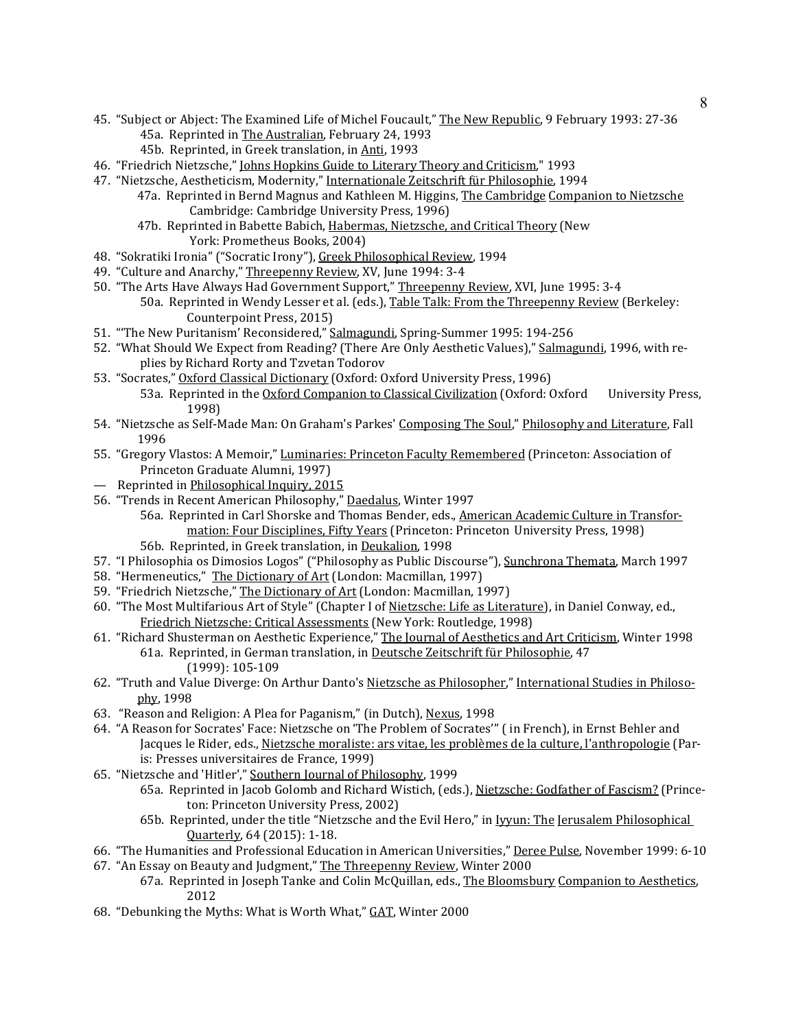- 45. "Subject or Abject: The Examined Life of Michel Foucault," The New Republic, 9 February 1993: 27-36 45a. Reprinted in The Australian, February 24, 1993
	- 45b. Reprinted, in Greek translation, in Anti, 1993
- 46. "Friedrich Nietzsche," Johns Hopkins Guide to Literary Theory and Criticism," 1993
- 47. "Nietzsche, Aestheticism, Modernity," Internationale Zeitschrift für Philosophie, 1994
	- 47a. Reprinted in Bernd Magnus and Kathleen M. Higgins, The Cambridge Companion to Nietzsche Cambridge: Cambridge University Press, 1996)
	- 47b. Reprinted in Babette Babich, Habermas, Nietzsche, and Critical Theory (New York: Prometheus Books, 2004)
- 48. "Sokratiki Ironia" ("Socratic Irony"), Greek Philosophical Review, 1994
- 49. "Culture and Anarchy," Threepenny Review, XV, June 1994: 3-4
- 50. "The Arts Have Always Had Government Support," Threepenny Review, XVI, June 1995: 3-4
	- 50a. Reprinted in Wendy Lesser et al. (eds.), Table Talk: From the Threepenny Review (Berkeley: Counterpoint Press, 2015)
- 51. "'The New Puritanism' Reconsidered," Salmagundi, Spring-Summer 1995: 194-256
- 52. "What Should We Expect from Reading? (There Are Only Aesthetic Values)," Salmagundi, 1996, with replies by Richard Rorty and Tzvetan Todorov
- 53. "Socrates," Oxford Classical Dictionary (Oxford: Oxford University Press, 1996) 53a. Reprinted in the Oxford Companion to Classical Civilization (Oxford: Oxford University Press, 1998)
- 54. "Nietzsche as Self-Made Man: On Graham's Parkes' Composing The Soul," Philosophy and Literature, Fall 1996
- 55. "Gregory Vlastos: A Memoir," Luminaries: Princeton Faculty Remembered (Princeton: Association of Princeton Graduate Alumni, 1997)
- Reprinted in Philosophical Inquiry, 2015
- 56. "Trends in Recent American Philosophy," Daedalus, Winter 1997
	- 56a. Reprinted in Carl Shorske and Thomas Bender, eds., American Academic Culture in Transformation: Four Disciplines, Fifty Years (Princeton: Princeton University Press, 1998) 56b. Reprinted, in Greek translation, in Deukalion, 1998
- 57. "I Philosophia os Dimosios Logos" ("Philosophy as Public Discourse"), Sunchrona Themata, March 1997
- 58. "Hermeneutics," The Dictionary of Art (London: Macmillan, 1997)
- 59. "Friedrich Nietzsche," The Dictionary of Art (London: Macmillan, 1997)
- 60. "The Most Multifarious Art of Style" (Chapter I of Nietzsche: Life as Literature), in Daniel Conway, ed., Friedrich Nietzsche: Critical Assessments (New York: Routledge, 1998)
- 61. "Richard Shusterman on Aesthetic Experience," The Journal of Aesthetics and Art Criticism, Winter 1998 61a. Reprinted, in German translation, in Deutsche Zeitschrift für Philosophie, 47 (1999): 105-109
- 62. "Truth and Value Diverge: On Arthur Danto's Nietzsche as Philosopher," International Studies in Philosophy, 1998
- 63. "Reason and Religion: A Plea for Paganism," (in Dutch), Nexus, 1998
- 64. "A Reason for Socrates' Face: Nietzsche on 'The Problem of Socrates'" ( in French), in Ernst Behler and Jacques le Rider, eds., Nietzsche moraliste: ars vitae, les problèmes de la culture, l'anthropologie (Paris: Presses universitaires de France, 1999)
- 65. "Nietzsche and 'Hitler'," Southern Journal of Philosophy, 1999
	- 65a. Reprinted in Jacob Golomb and Richard Wistich, (eds.), Nietzsche: Godfather of Fascism? (Princeton: Princeton University Press, 2002)
	- 65b. Reprinted, under the title "Nietzsche and the Evil Hero," in Iyyun: The Jerusalem Philosophical Quarterly, 64 (2015): 1-18.
- 66. "The Humanities and Professional Education in American Universities," Deree Pulse, November 1999: 6-10
- 67. "An Essay on Beauty and Judgment," The Threepenny Review, Winter 2000
	- 67a. Reprinted in Joseph Tanke and Colin McQuillan, eds., The Bloomsbury Companion to Aesthetics, 2012
- 68. "Debunking the Myths: What is Worth What," GAT, Winter 2000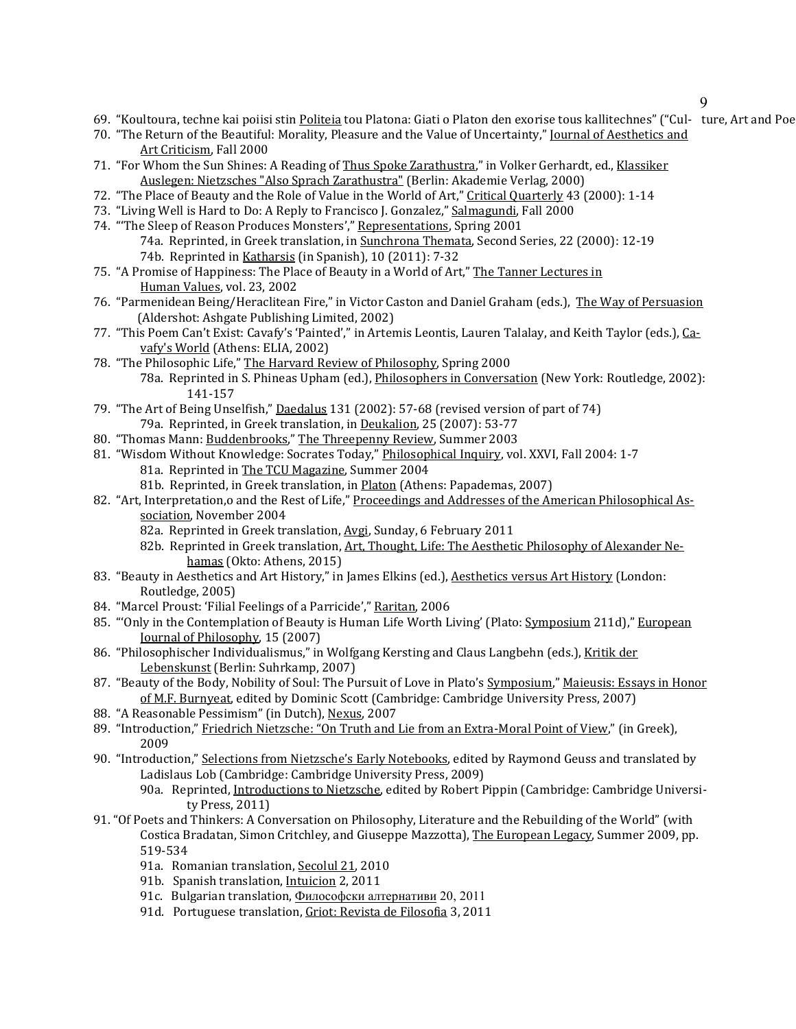9

- 69. "Koultoura, techne kai poiisi stin Politeia tou Platona: Giati o Platon den exorise tous kallitechnes" ("Cul- ture, Art and Poe
- 70. "The Return of the Beautiful: Morality, Pleasure and the Value of Uncertainty," Journal of Aesthetics and Art Criticism, Fall 2000
- 71. "For Whom the Sun Shines: A Reading of Thus Spoke Zarathustra," in Volker Gerhardt, ed., Klassiker Auslegen: Nietzsches "Also Sprach Zarathustra" (Berlin: Akademie Verlag, 2000)
- 72. "The Place of Beauty and the Role of Value in the World of Art," Critical Quarterly 43 (2000): 1-14
- 73. "Living Well is Hard to Do: A Reply to Francisco J. Gonzalez," Salmagundi, Fall 2000
- 74. "'The Sleep of Reason Produces Monsters'," Representations, Spring 2001 74a. Reprinted, in Greek translation, in Sunchrona Themata, Second Series, 22 (2000): 12-19 74b. Reprinted in Katharsis (in Spanish), 10 (2011): 7-32
- 75. "A Promise of Happiness: The Place of Beauty in a World of Art," The Tanner Lectures in Human Values, vol. 23, 2002
- 76. "Parmenidean Being/Heraclitean Fire," in Victor Caston and Daniel Graham (eds.), The Way of Persuasion (Aldershot: Ashgate Publishing Limited, 2002)
- 77. "This Poem Can't Exist: Cavafy's 'Painted'," in Artemis Leontis, Lauren Talalay, and Keith Taylor (eds.), Cavafy's World (Athens: ELIA, 2002)
- 78. "The Philosophic Life," The Harvard Review of Philosophy, Spring 2000 78a. Reprinted in S. Phineas Upham (ed.), *Philosophers in Conversation* (New York: Routledge, 2002): 141-157
- 79. "The Art of Being Unselfish," Daedalus 131 (2002): 57-68 (revised version of part of 74) 79a. Reprinted, in Greek translation, in Deukalion, 25 (2007): 53-77
- 80. "Thomas Mann: Buddenbrooks," The Threepenny Review, Summer 2003
- 81. "Wisdom Without Knowledge: Socrates Today," Philosophical Inquiry, vol. XXVI, Fall 2004: 1-7
	- 81a. Reprinted in The TCU Magazine, Summer 2004
	- 81b. Reprinted, in Greek translation, in Platon (Athens: Papademas, 2007)
- 82. "Art, Interpretation,o and the Rest of Life," Proceedings and Addresses of the American Philosophical Association, November 2004
	- 82a. Reprinted in Greek translation, Avgi, Sunday, 6 February 2011
	- 82b. Reprinted in Greek translation, Art, Thought, Life: The Aesthetic Philosophy of Alexander Nehamas (Okto: Athens, 2015)
- 83. "Beauty in Aesthetics and Art History," in James Elkins (ed.), Aesthetics versus Art History (London: Routledge, 2005)
- 84. "Marcel Proust: 'Filial Feelings of a Parricide'," Raritan, 2006
- 85. "'Only in the Contemplation of Beauty is Human Life Worth Living' (Plato: Symposium 211d)," European Journal of Philosophy, 15 (2007)
- 86. "Philosophischer Individualismus," in Wolfgang Kersting and Claus Langbehn (eds.), Kritik der Lebenskunst (Berlin: Suhrkamp, 2007)
- 87. "Beauty of the Body, Nobility of Soul: The Pursuit of Love in Plato's Symposium," Maieusis: Essays in Honor of M.F. Burnyeat, edited by Dominic Scott (Cambridge: Cambridge University Press, 2007)
- 88. "A Reasonable Pessimism" (in Dutch), Nexus, 2007
- 89. "Introduction," Friedrich Nietzsche: "On Truth and Lie from an Extra-Moral Point of View," (in Greek), 2009
- 90. "Introduction," Selections from Nietzsche's Early Notebooks, edited by Raymond Geuss and translated by Ladislaus Lob (Cambridge: Cambridge University Press, 2009) 90a. Reprinted, Introductions to Nietzsche, edited by Robert Pippin (Cambridge: Cambridge Universi
	- ty Press, 2011)
- 91. "Of Poets and Thinkers: A Conversation on Philosophy, Literature and the Rebuilding of the World" (with Costica Bradatan, Simon Critchley, and Giuseppe Mazzotta), The European Legacy, Summer 2009, pp. 519-534
	- 91a. Romanian translation, Secolul 21, 2010
	- 91b. Spanish translation, Intuicion 2, 2011
	- 91c. Bulgarian translation, Философски алтернативи 20, 2011
	- 91d. Portuguese translation, Griot: Revista de Filosofia 3, 2011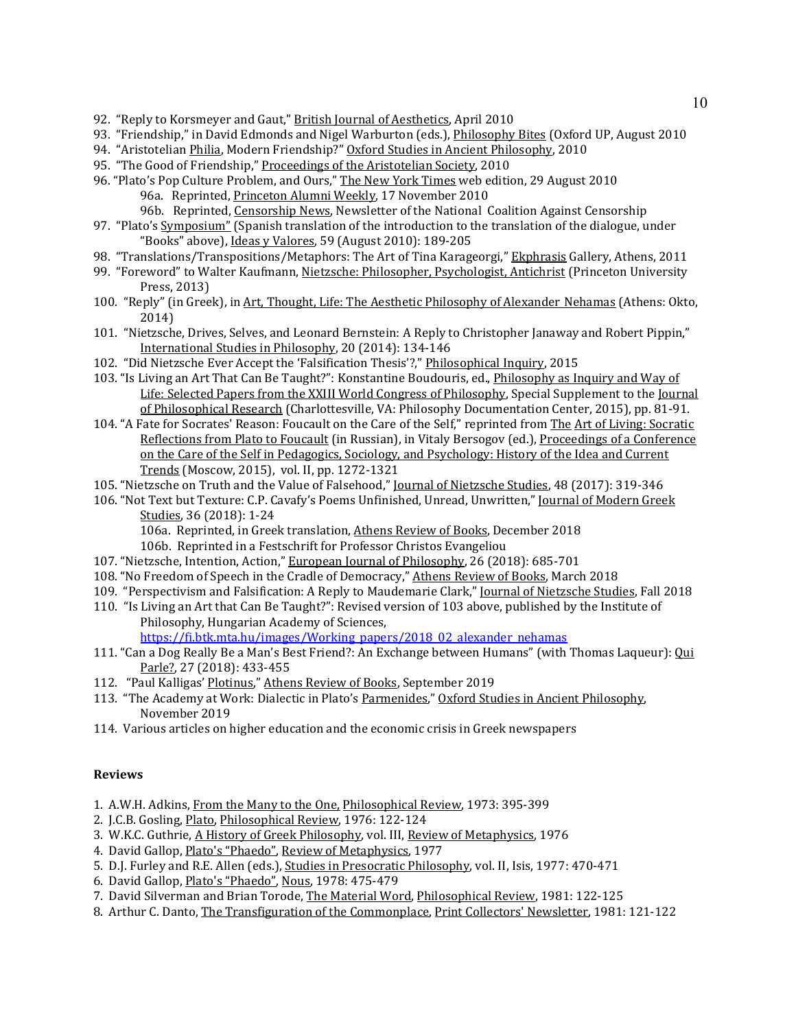- 92. "Reply to Korsmeyer and Gaut," British Journal of Aesthetics, April 2010
- 93. "Friendship," in David Edmonds and Nigel Warburton (eds.), Philosophy Bites (Oxford UP, August 2010
- 94. "Aristotelian Philia, Modern Friendship?" Oxford Studies in Ancient Philosophy, 2010
- 95. "The Good of Friendship," Proceedings of the Aristotelian Society, 2010
- 96. "Plato's Pop Culture Problem, and Ours," The New York Times web edition, 29 August 2010 96a. Reprinted, Princeton Alumni Weekly, 17 November 2010
	- 96b. Reprinted, Censorship News, Newsletter of the National Coalition Against Censorship
- 97. "Plato's Symposium" (Spanish translation of the introduction to the translation of the dialogue, under "Books" above), Ideas y Valores, 59 (August 2010): 189-205
- 98. "Translations/Transpositions/Metaphors: The Art of Tina Karageorgi," Ekphrasis Gallery, Athens, 2011
- 99. "Foreword" to Walter Kaufmann, Nietzsche: Philosopher, Psychologist, Antichrist (Princeton University Press, 2013)
- 100. "Reply" (in Greek), in Art, Thought, Life: The Aesthetic Philosophy of Alexander Nehamas (Athens: Okto, 2014)
- 101. "Nietzsche, Drives, Selves, and Leonard Bernstein: A Reply to Christopher Janaway and Robert Pippin," International Studies in Philosophy, 20 (2014): 134-146
- 102. "Did Nietzsche Ever Accept the 'Falsification Thesis'?," Philosophical Inquiry, 2015
- 103. "Is Living an Art That Can Be Taught?": Konstantine Boudouris, ed., *Philosophy as Inquiry and Way of* Life: Selected Papers from the XXIII World Congress of Philosophy, Special Supplement to the Journal of Philosophical Research (Charlottesville, VA: Philosophy Documentation Center, 2015), pp. 81-91.
- 104. "A Fate for Socrates' Reason: Foucault on the Care of the Self," reprinted from The Art of Living: Socratic Reflections from Plato to Foucault (in Russian), in Vitaly Bersogov (ed.), Proceedings of a Conference on the Care of the Self in Pedagogics, Sociology, and Psychology: History of the Idea and Current Trends (Moscow, 2015), vol. II, pp. 1272-1321
- 105. "Nietzsche on Truth and the Value of Falsehood," Journal of Nietzsche Studies, 48 (2017): 319-346
- 106. "Not Text but Texture: C.P. Cavafy's Poems Unfinished, Unread, Unwritten," Journal of Modern Greek Studies, 36 (2018): 1-24

106a. Reprinted, in Greek translation, Athens Review of Books, December 2018

106b. Reprinted in a Festschrift for Professor Christos Evangeliou

- 107. "Nietzsche, Intention, Action," European Journal of Philosophy, 26 (2018): 685-701
- 108. "No Freedom of Speech in the Cradle of Democracy," Athens Review of Books, March 2018
- 109. "Perspectivism and Falsification: A Reply to Maudemarie Clark," Journal of Nietzsche Studies, Fall 2018
- 110. "Is Living an Art that Can Be Taught?": Revised version of 103 above, published by the Institute of Philosophy, Hungarian Academy of Sciences, [https://fi.btk.mta.hu/images/Working\\_papers/2018\\_02\\_alexander\\_nehamas](https://fi.btk.mta.hu/images/Working_papers/2018_02_alexander_nehamas)
- 111. "Can a Dog Really Be a Man's Best Friend?: An Exchange between Humans" (with Thomas Laqueur): Qui Parle?, 27 (2018): 433-455
- 112. "Paul Kalligas' Plotinus," Athens Review of Books, September 2019
- 113. "The Academy at Work: Dialectic in Plato's Parmenides," Oxford Studies in Ancient Philosophy, November 2019
- 114. Various articles on higher education and the economic crisis in Greek newspapers

#### **Reviews**

- 1. A.W.H. Adkins, From the Many to the One, Philosophical Review, 1973: 395-399
- 2. J.C.B. Gosling, Plato, Philosophical Review, 1976: 122-124
- 3. W.K.C. Guthrie, A History of Greek Philosophy, vol. III, Review of Metaphysics, 1976
- 4. David Gallop, Plato's "Phaedo", Review of Metaphysics, 1977
- 5. D.J. Furley and R.E. Allen (eds.), Studies in Presocratic Philosophy, vol. II, Isis, 1977: 470-471
- 6. David Gallop, Plato's "Phaedo", Nous, 1978: 475-479
- 7. David Silverman and Brian Torode, The Material Word, Philosophical Review, 1981: 122-125
- 8. Arthur C. Danto, The Transfiguration of the Commonplace, Print Collectors' Newsletter, 1981: 121-122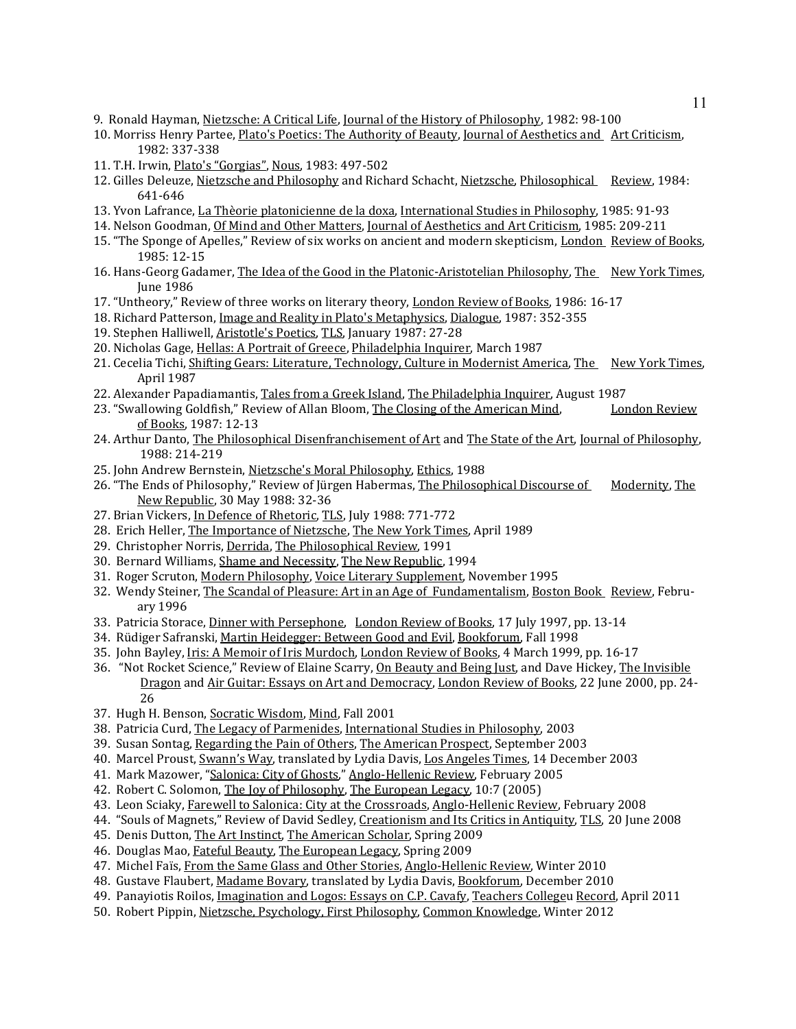- 9. Ronald Hayman, Nietzsche: A Critical Life, Journal of the History of Philosophy, 1982: 98-100
- 10. Morriss Henry Partee, Plato's Poetics: The Authority of Beauty, Journal of Aesthetics and Art Criticism, 1982: 337-338
- 11. T.H. Irwin, Plato's "Gorgias", Nous, 1983: 497-502
- 12. Gilles Deleuze, Nietzsche and Philosophy and Richard Schacht, Nietzsche, Philosophical Review, 1984: 641-646
- 13. Yvon Lafrance, La Thèorie platonicienne de la doxa, International Studies in Philosophy, 1985: 91-93
- 14. Nelson Goodman, Of Mind and Other Matters, Journal of Aesthetics and Art Criticism, 1985: 209-211
- 15. "The Sponge of Apelles," Review of six works on ancient and modern skepticism, London Review of Books, 1985: 12-15
- 16. Hans-Georg Gadamer, The Idea of the Good in the Platonic-Aristotelian Philosophy, The New York Times, June 1986
- 17. "Untheory," Review of three works on literary theory, London Review of Books, 1986: 16-17
- 18. Richard Patterson, Image and Reality in Plato's Metaphysics, Dialogue, 1987: 352-355
- 19. Stephen Halliwell, Aristotle's Poetics, TLS, January 1987: 27-28
- 20. Nicholas Gage, Hellas: A Portrait of Greece, Philadelphia Inquirer, March 1987
- 21. Cecelia Tichi, Shifting Gears: Literature, Technology, Culture in Modernist America, The New York Times, April 1987
- 22. Alexander Papadiamantis, Tales from a Greek Island, The Philadelphia Inquirer, August 1987<br>23. "Swallowing Goldfish," Review of Allan Bloom, The Closing of the American Mind, London Review
- 23. "Swallowing Goldfish," Review of Allan Bloom, The Closing of the American Mind, of Books, 1987: 12-13
- 24. Arthur Danto, The Philosophical Disenfranchisement of Art and The State of the Art, Journal of Philosophy, 1988: 214-219
- 25. John Andrew Bernstein, Nietzsche's Moral Philosophy, Ethics, 1988
- 26. "The Ends of Philosophy," Review of Jürgen Habermas, The Philosophical Discourse of Modernity, The New Republic, 30 May 1988: 32-36
- 27. Brian Vickers, In Defence of Rhetoric, TLS, July 1988: 771-772
- 28. Erich Heller, The Importance of Nietzsche, The New York Times, April 1989
- 29. Christopher Norris, Derrida, The Philosophical Review, 1991
- 30. Bernard Williams, Shame and Necessity, The New Republic, 1994
- 31. Roger Scruton, Modern Philosophy, Voice Literary Supplement, November 1995
- 32. Wendy Steiner, The Scandal of Pleasure: Art in an Age of Fundamentalism, Boston Book Review, February 1996
- 33. Patricia Storace, Dinner with Persephone, London Review of Books, 17 July 1997, pp. 13-14
- 34. Rüdiger Safranski, Martin Heidegger: Between Good and Evil, Bookforum, Fall 1998
- 35. John Bayley, Iris: A Memoir of Iris Murdoch, London Review of Books, 4 March 1999, pp. 16-17
- 36. "Not Rocket Science," Review of Elaine Scarry, On Beauty and Being Just, and Dave Hickey, The Invisible Dragon and Air Guitar: Essays on Art and Democracy, London Review of Books, 22 June 2000, pp. 24- 26
- 37. Hugh H. Benson, Socratic Wisdom, Mind, Fall 2001
- 38. Patricia Curd, The Legacy of Parmenides, International Studies in Philosophy, 2003
- 39. Susan Sontag, Regarding the Pain of Others, The American Prospect, September 2003
- 40. Marcel Proust, Swann's Way, translated by Lydia Davis, Los Angeles Times, 14 December 2003
- 41. Mark Mazower, "Salonica: City of Ghosts," Anglo-Hellenic Review, February 2005
- 42. Robert C. Solomon, The Joy of Philosophy, The European Legacy, 10:7 (2005)
- 43. Leon Sciaky, Farewell to Salonica: City at the Crossroads, Anglo-Hellenic Review, February 2008
- 44. "Souls of Magnets," Review of David Sedley, Creationism and Its Critics in Antiquity, TLS, 20 June 2008
- 45. Denis Dutton, The Art Instinct, The American Scholar, Spring 2009
- 46. Douglas Mao, Fateful Beauty, The European Legacy, Spring 2009
- 47. Michel Faïs, From the Same Glass and Other Stories, Anglo-Hellenic Review, Winter 2010
- 48. Gustave Flaubert, Madame Bovary, translated by Lydia Davis, Bookforum, December 2010
- 49. Panayiotis Roilos, Imagination and Logos: Essays on C.P. Cavafy, Teachers Collegeu Record, April 2011
- 50. Robert Pippin, Nietzsche, Psychology, First Philosophy, Common Knowledge, Winter 2012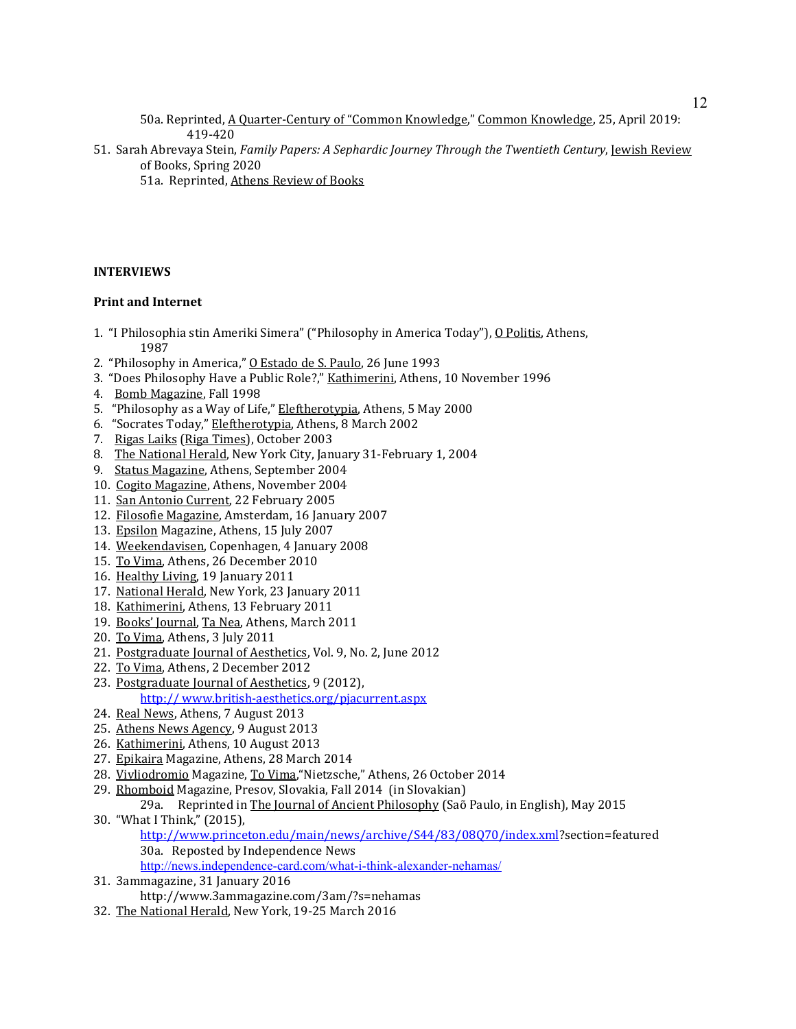50a. Reprinted, A Quarter-Century of "Common Knowledge," Common Knowledge, 25, April 2019: 419-420

51. Sarah Abrevaya Stein, *Family Papers: A Sephardic Journey Through the Twentieth Century*, *Jewish Review* of Books, Spring 2020

51a. Reprinted, Athens Review of Books

# **INTERVIEWS**

### **Print and Internet**

- 1. "I Philosophia stin Ameriki Simera" ("Philosophy in America Today"), O Politis, Athens, 1987
- 2. "Philosophy in America," O Estado de S. Paulo, 26 June 1993
- 3. "Does Philosophy Have a Public Role?," Kathimerini, Athens, 10 November 1996
- 4. Bomb Magazine, Fall 1998
- 5. "Philosophy as a Way of Life," Eleftherotypia, Athens, 5 May 2000
- 6. "Socrates Today," Eleftherotypia, Athens, 8 March 2002
- 7. Rigas Laiks (Riga Times), October 2003
- 8. The National Herald, New York City, January 31-February 1, 2004
- 9. Status Magazine, Athens, September 2004
- 10. Cogito Magazine, Athens, November 2004
- 11. San Antonio Current, 22 February 2005
- 12. Filosofie Magazine, Amsterdam, 16 January 2007
- 13. Epsilon Magazine, Athens, 15 July 2007
- 14. Weekendavisen, Copenhagen, 4 January 2008
- 15. To Vima, Athens, 26 December 2010
- 16. Healthy Living, 19 January 2011
- 17. National Herald, New York, 23 January 2011
- 18. Kathimerini, Athens, 13 February 2011
- 19. Books' Journal, Ta Nea, Athens, March 2011
- 20. Το Vima, Athens, 3 July 2011
- 21. Postgraduate Journal of Aesthetics, Vol. 9, No. 2, June 2012
- 22. To Vima, Athens, 2 December 2012
- 23. Postgraduate Journal of Aesthetics, 9 (2012), http:// www.british-aesthetics.org/pjacurrent.aspx
- 24. Real News, Athens, 7 August 2013
- 25. Αthens News Agency, 9 August 2013
- 26. Kathimerini, Athens, 10 August 2013
- 27. Epikaira Magazine, Athens, 28 March 2014
- 28. Vivliodromio Magazine, To Vima,"Nietzsche," Athens, 26 October 2014
- 29. Rhomboid Magazine, Presov, Slovakia, Fall 2014 (in Slovakian)
- 29a. Reprinted in The Journal of Ancient Philosophy (Saõ Paulo, in English), May 2015 30. "What I Think," (2015),
	- [http://www.princeton.edu/main/news/archive/S44/83/08Q70/index.xml?](http://www.princeton.edu/main/news/archive/S44/83/08Q70/index.xml)section=featured 30a. Reposted by Independence News
	- <http://news.independence-card.com/what-i-think-alexander-nehamas/>
- 31. 3ammagazine, 31 January 2016 http://www.3ammagazine.com/3am/?s=nehamas
- 32. The National Herald, New York, 19-25 March 2016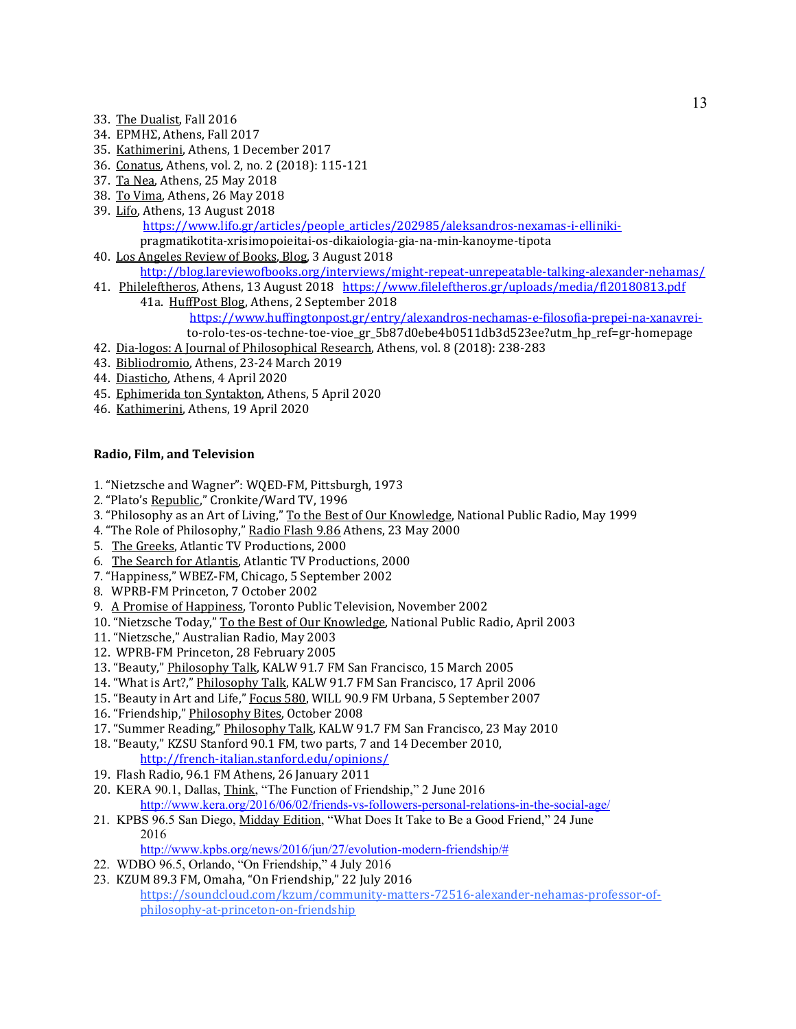- 33. The Dualist, Fall 2016
- 34. ΕΡΜΗΣ, Athens, Fall 2017
- 35. Kathimerini, Athens, 1 December 2017
- 36. Conatus, Athens, vol. 2, no. 2 (2018): 115-121
- 37. Τa Nea, Athens, 25 May 2018
- 38. To Vima, Athens, 26 May 2018
- 39. Lifo, Athens, 13 August 2018 [https://www.lifo.gr/articles/people\\_articles/202985/aleksandros-nexamas-i-elliniki](https://www.lifo.gr/articles/people_articles/202985/aleksandros-nexamas-i-elliniki-)pragmatikotita-xrisimopoieitai-os-dikaiologia-gia-na-min-kanoyme-tipota
- 40. Los Angeles Review of Books, Blog, 3 August 2018 <http://blog.lareviewofbooks.org/interviews/might-repeat-unrepeatable-talking-alexander-nehamas/>
- 41. Phileleftheros, Athens, 13 August 2018 <https://www.fileleftheros.gr/uploads/media/fl20180813.pdf>
- 41a. HuffPost Blog, Athens, 2 September 2018 [https://www.huffingtonpost.gr/entry/alexandros-nechamas-e-filosofia-prepei-na-xanavrei](https://www.huffingtonpost.gr/entry/alexandros-nechamas-e-filosofia-prepei-na-xanavrei-)to-rolo-tes-os-techne-toe-vioe\_gr\_5b87d0ebe4b0511db3d523ee?utm\_hp\_ref=gr-homepage 42. Dia-logos: A Journal of Philosophical Research, Athens, vol. 8 (2018): 238-283
- 
- 43. Bibliodromio, Athens, 23-24 March 2019
- 44. Diasticho, Athens, 4 April 2020
- 45. Ephimerida ton Syntakton, Athens, 5 April 2020
- 46. Kathimerini, Athens, 19 April 2020

# **Radio, Film, and Television**

- 1. "Nietzsche and Wagner": WQED-FM, Pittsburgh, 1973
- 2. "Plato's Republic," Cronkite/Ward TV, 1996
- 3. "Philosophy as an Art of Living," To the Best of Our Knowledge, National Public Radio, May 1999
- 4. "The Role of Philosophy," Radio Flash 9.86 Athens, 23 May 2000
- 5. The Greeks, Atlantic TV Productions, 2000
- 6. The Search for Atlantis, Atlantic TV Productions, 2000
- 7. "Happiness," WBEZ-FM, Chicago, 5 September 2002
- 8. WPRB-FM Princeton, 7 October 2002
- 9. A Promise of Happiness, Toronto Public Television, November 2002
- 10. "Nietzsche Today," To the Best of Our Knowledge, National Public Radio, April 2003
- 11. "Nietzsche," Australian Radio, May 2003
- 12. WPRB-FM Princeton, 28 February 2005
- 13. "Beauty," Philosophy Talk, KALW 91.7 FM San Francisco, 15 March 2005
- 14. "What is Art?," Philosophy Talk, KALW 91.7 FM San Francisco, 17 April 2006
- 15. "Beauty in Art and Life," Focus 580, WILL 90.9 FM Urbana, 5 September 2007
- 16. "Friendship," Philosophy Bites, October 2008
- 17. "Summer Reading," Philosophy Talk, KALW 91.7 FM San Francisco, 23 May 2010
- 18. "Beauty," KZSU Stanford 90.1 FM, two parts, 7 and 14 December 2010, <http://french-italian.stanford.edu/opinions/>
- 19. Flash Radio, 96.1 FM Athens, 26 January 2011
- 20. KERA 90.1, Dallas, Think, "The Function of Friendship," 2 June 2016 <http://www.kera.org/2016/06/02/friends-vs-followers-personal-relations-in-the-social-age/>
- 21. KPBS 96.5 San Diego, Midday Edition, "What Does It Take to Be a Good Friend," 24 June 2016

[http://www.kpbs.org/news/2016/jun/27/evolution-modern-friendship/#](http://www.kpbs.org/news/2016/jun/27/evolution-modern-friendship/)

- 22. WDBO 96.5, Orlando, "On Friendship," 4 July 2016
- 23. KZUM 89.3 FM, Omaha, "On Friendship," 22 July 2016 [https://soundcloud.com/kzum/community-matters-72516-alexander-nehamas-professor-of](https://soundcloud.com/kzum/community-matters-72516-alexander-nehamas-professor-of-philosophy-at-princeton-on-friendship)[philosophy-at-princeton-on-friendship](https://soundcloud.com/kzum/community-matters-72516-alexander-nehamas-professor-of-philosophy-at-princeton-on-friendship)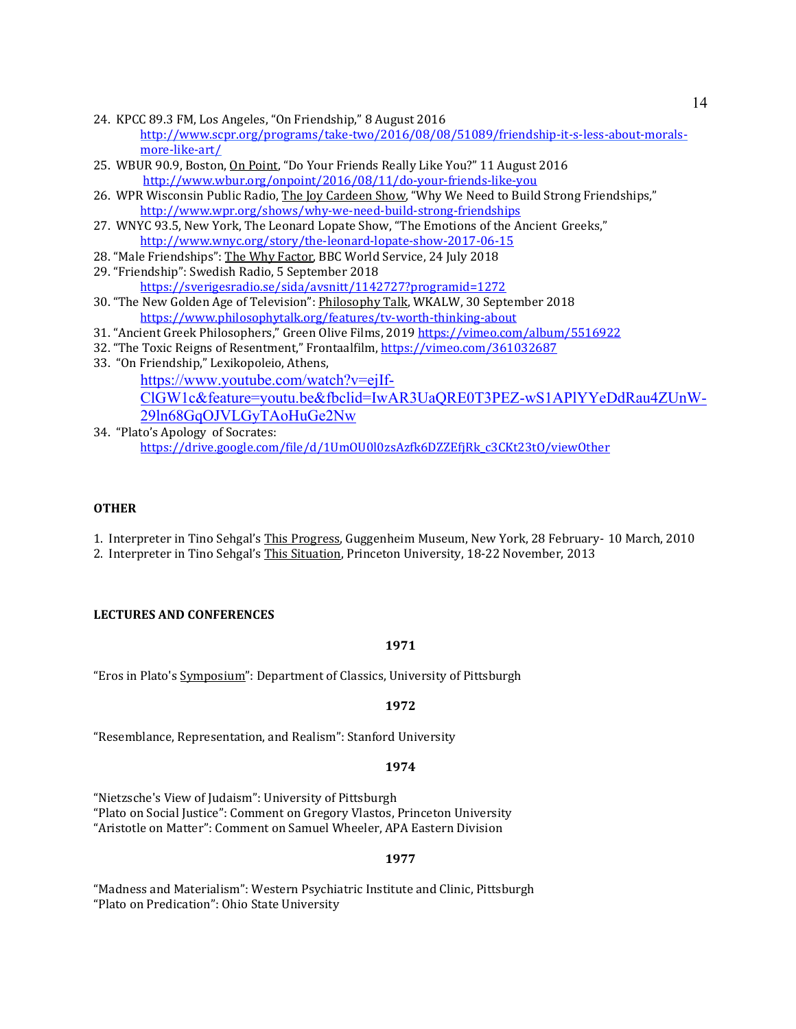- 24. KPCC 89.3 FM, Los Angeles, "On Friendship," 8 August 2016 [http://www.scpr.org/programs/take-two/2016/08/08/51089/friendship-it-s-less-about-morals](http://www.scpr.org/programs/take-two/2016/08/08/51089/friendship-it-s-less-about-morals-more-like-art/)[more-like-art/](http://www.scpr.org/programs/take-two/2016/08/08/51089/friendship-it-s-less-about-morals-more-like-art/)
- 25. WBUR 90.9, Boston, On Point, "Do Your Friends Really Like You?" 11 August 2016 <http://www.wbur.org/onpoint/2016/08/11/do-your-friends-like-you>
- 26. WPR Wisconsin Public Radio, The Joy Cardeen Show, "Why We Need to Build Strong Friendships," <http://www.wpr.org/shows/why-we-need-build-strong-friendships>
- 27. WNYC 93.5, New York, The Leonard Lopate Show, "The Emotions of the Ancient Greeks," <http://www.wnyc.org/story/the-leonard-lopate-show-2017-06-15>
- 28. "Male Friendships": The Why Factor, BBC World Service, 24 July 2018
- 29. "Friendship": Swedish Radio, 5 September 2018
- <https://sverigesradio.se/sida/avsnitt/1142727?programid=1272> 30. "The New Golden Age of Television": Philosophy Talk, WKALW, 30 September 2018 <https://www.philosophytalk.org/features/tv-worth-thinking-about>
- 31. "Ancient Greek Philosophers," Green Olive Films, 201[9 https://vimeo.com/album/5516922](https://vimeo.com/album/5516922)
- 32. "The Toxic Reigns of Resentment," Frontaalfilm[, https://vimeo.com/361032687](https://vimeo.com/361032687)
- 33. "On Friendship," Lexikopoleio, Athens, [https://www.youtube.com/watch?v=ejIf-](https://www.youtube.com/watch?v=ejIf-ClGW1c&feature=youtu.be&fbclid=IwAR3UaQRE0T3PEZ-wS1APlYYeDdRau4ZUnW-29ln68GqOJVLGyTAoHuGe2Nw)[ClGW1c&feature=youtu.be&fbclid=IwAR3UaQRE0T3PEZ-wS1APlYYeDdRau4ZUnW-](https://www.youtube.com/watch?v=ejIf-ClGW1c&feature=youtu.be&fbclid=IwAR3UaQRE0T3PEZ-wS1APlYYeDdRau4ZUnW-29ln68GqOJVLGyTAoHuGe2Nw)[29ln68GqOJVLGyTAoHuGe2Nw](https://www.youtube.com/watch?v=ejIf-ClGW1c&feature=youtu.be&fbclid=IwAR3UaQRE0T3PEZ-wS1APlYYeDdRau4ZUnW-29ln68GqOJVLGyTAoHuGe2Nw)
- 34. "Plato's Apology of Socrates: [https://drive.google.com/file/d/1UmOU0l0zsAzfk6DZZEfjRk\\_c3CKt23tO/viewOther](https://drive.google.com/file/d/1UmOU0l0zsAzfk6DZZEfjRk_c3CKt23tO/viewOther)

# **OTHER**

- 1. Interpreter in Tino Sehgal's This Progress, Guggenheim Museum, New York, 28 February- 10 March, 2010
- 2. Interpreter in Tino Sehgal's This Situation, Princeton University, 18-22 November, 2013

### **LECTURES AND CONFERENCES**

### **1971**

"Eros in Plato's Symposium": Department of Classics, University of Pittsburgh

# **1972**

"Resemblance, Representation, and Realism": Stanford University

# **1974**

"Nietzsche's View of Judaism": University of Pittsburgh

"Plato on Social Justice": Comment on Gregory Vlastos, Princeton University "Aristotle on Matter": Comment on Samuel Wheeler, APA Eastern Division

# **1977**

"Madness and Materialism": Western Psychiatric Institute and Clinic, Pittsburgh "Plato on Predication": Ohio State University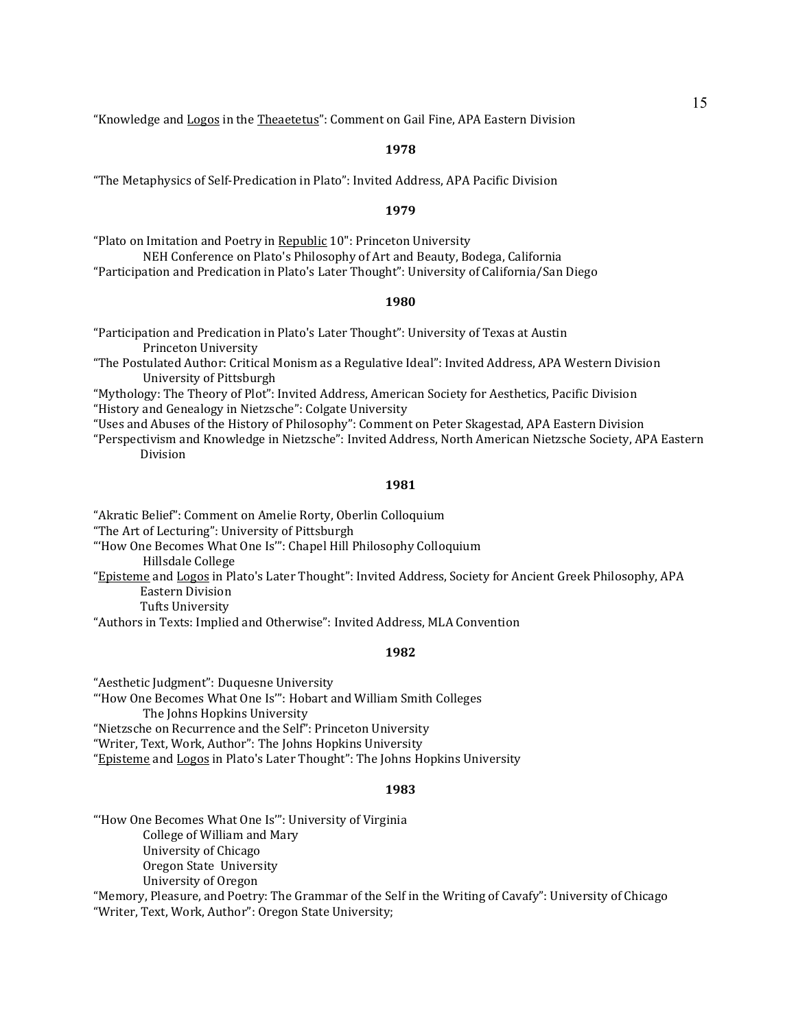"Knowledge and Logos in the Theaetetus": Comment on Gail Fine, APA Eastern Division

### **1978**

"The Metaphysics of Self-Predication in Plato": Invited Address, APA Pacific Division

#### **1979**

"Plato on Imitation and Poetry in Republic 10": Princeton University NEH Conference on Plato's Philosophy of Art and Beauty, Bodega, California "Participation and Predication in Plato's Later Thought": University of California/San Diego

#### **1980**

"Participation and Predication in Plato's Later Thought": University of Texas at Austin Princeton University

"The Postulated Author: Critical Monism as a Regulative Ideal": Invited Address, APA Western Division University of Pittsburgh

"Mythology: The Theory of Plot": Invited Address, American Society for Aesthetics, Pacific Division "History and Genealogy in Nietzsche": Colgate University

"Uses and Abuses of the History of Philosophy": Comment on Peter Skagestad, APA Eastern Division

"Perspectivism and Knowledge in Nietzsche": Invited Address, North American Nietzsche Society, APA Eastern Division

#### **1981**

"Akratic Belief": Comment on Amelie Rorty, Oberlin Colloquium "The Art of Lecturing": University of Pittsburgh "'How One Becomes What One Is'": Chapel Hill Philosophy Colloquium Hillsdale College "Episteme and Logos in Plato's Later Thought": Invited Address, Society for Ancient Greek Philosophy, APA Eastern Division

Tufts University

"Authors in Texts: Implied and Otherwise": Invited Address, MLA Convention

#### **1982**

"Aesthetic Judgment": Duquesne University "'How One Becomes What One Is'": Hobart and William Smith Colleges The Johns Hopkins University "Nietzsche on Recurrence and the Self": Princeton University "Writer, Text, Work, Author": The Johns Hopkins University "Episteme and Logos in Plato's Later Thought": The Johns Hopkins University

#### **1983**

"'How One Becomes What One Is'": University of Virginia College of William and Mary University of Chicago Oregon State University University of Oregon

"Memory, Pleasure, and Poetry: The Grammar of the Self in the Writing of Cavafy": University of Chicago "Writer, Text, Work, Author": Oregon State University;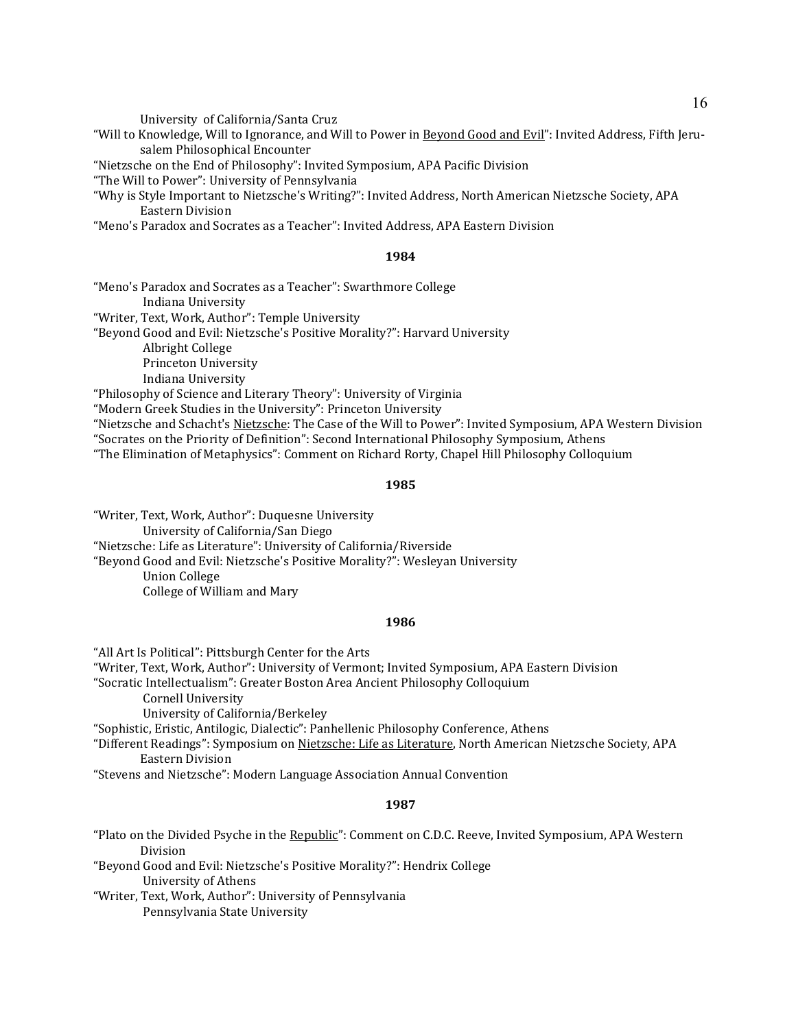University of California/Santa Cruz

"Will to Knowledge, Will to Ignorance, and Will to Power in Beyond Good and Evil": Invited Address, Fifth Jerusalem Philosophical Encounter

"Nietzsche on the End of Philosophy": Invited Symposium, APA Pacific Division

"The Will to Power": University of Pennsylvania

"Why is Style Important to Nietzsche's Writing?": Invited Address, North American Nietzsche Society, APA Eastern Division

"Meno's Paradox and Socrates as a Teacher": Invited Address, APA Eastern Division

### **1984**

"Meno's Paradox and Socrates as a Teacher": Swarthmore College Indiana University "Writer, Text, Work, Author": Temple University "Beyond Good and Evil: Nietzsche's Positive Morality?": Harvard University Albright College Princeton University Indiana University "Philosophy of Science and Literary Theory": University of Virginia "Modern Greek Studies in the University": Princeton University "Nietzsche and Schacht's Nietzsche: The Case of the Will to Power": Invited Symposium, APA Western Division

"Socrates on the Priority of Definition": Second International Philosophy Symposium, Athens

"The Elimination of Metaphysics": Comment on Richard Rorty, Chapel Hill Philosophy Colloquium

### **1985**

"Writer, Text, Work, Author": Duquesne University University of California/San Diego "Nietzsche: Life as Literature": University of California/Riverside "Beyond Good and Evil: Nietzsche's Positive Morality?": Wesleyan University Union College College of William and Mary

### **1986**

"All Art Is Political": Pittsburgh Center for the Arts

"Writer, Text, Work, Author": University of Vermont; Invited Symposium, APA Eastern Division

"Socratic Intellectualism": Greater Boston Area Ancient Philosophy Colloquium

Cornell University

University of California/Berkeley

"Sophistic, Eristic, Antilogic, Dialectic": Panhellenic Philosophy Conference, Athens

"Different Readings": Symposium on Nietzsche: Life as Literature, North American Nietzsche Society, APA Eastern Division

"Stevens and Nietzsche": Modern Language Association Annual Convention

## **1987**

"Plato on the Divided Psyche in the Republic": Comment on C.D.C. Reeve, Invited Symposium, APA Western Division

"Beyond Good and Evil: Nietzsche's Positive Morality?": Hendrix College University of Athens

"Writer, Text, Work, Author": University of Pennsylvania Pennsylvania State University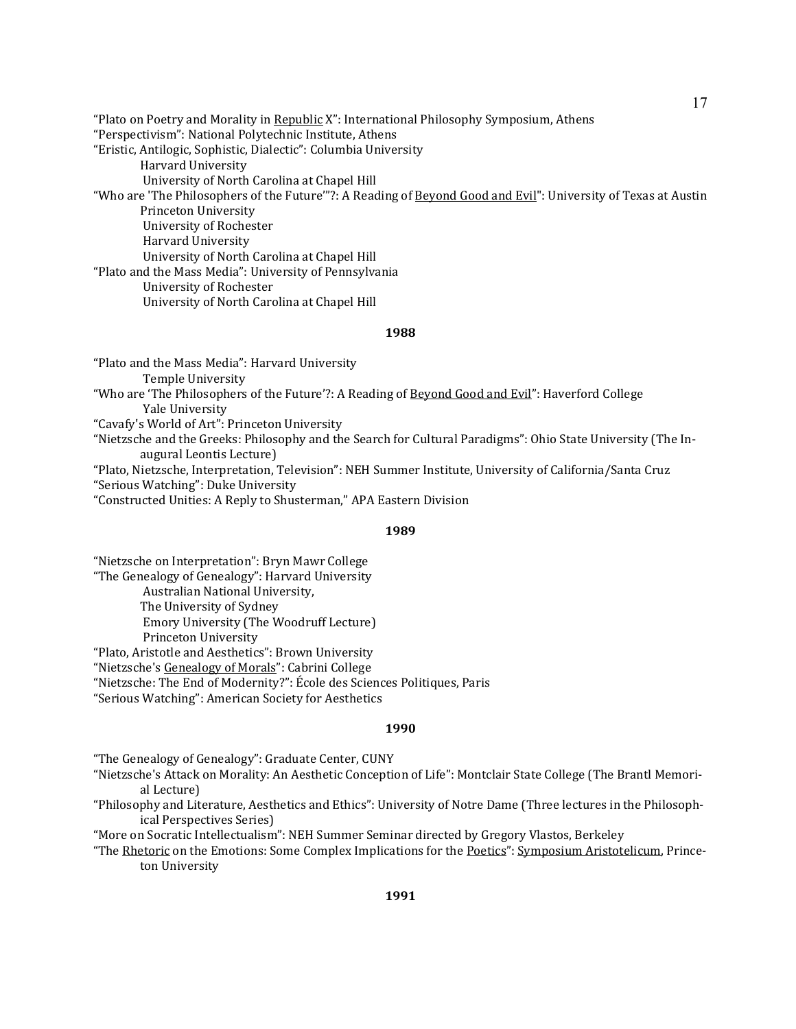"Plato on Poetry and Morality in Republic X": International Philosophy Symposium, Athens "Perspectivism": National Polytechnic Institute, Athens "Eristic, Antilogic, Sophistic, Dialectic": Columbia University Harvard University University of North Carolina at Chapel Hill "Who are 'The Philosophers of the Future'"?: A Reading of Beyond Good and Evil": University of Texas at Austin Princeton University University of Rochester Harvard University University of North Carolina at Chapel Hill "Plato and the Mass Media": University of Pennsylvania University of Rochester University of North Carolina at Chapel Hill

#### **1988**

"Plato and the Mass Media": Harvard University Temple University "Who are 'The Philosophers of the Future'?: A Reading of Beyond Good and Evil": Haverford College Yale University "Cavafy's World of Art": Princeton University "Nietzsche and the Greeks: Philosophy and the Search for Cultural Paradigms": Ohio State University (The Inaugural Leontis Lecture) "Plato, Nietzsche, Interpretation, Television": NEH Summer Institute, University of California/Santa Cruz

"Serious Watching": Duke University

"Constructed Unities: A Reply to Shusterman," APA Eastern Division

#### **1989**

"Nietzsche on Interpretation": Bryn Mawr College

"The Genealogy of Genealogy": Harvard University Australian National University, The University of Sydney Emory University (The Woodruff Lecture) Princeton University

"Plato, Aristotle and Aesthetics": Brown University

"Nietzsche's Genealogy of Morals": Cabrini College

"Nietzsche: The End of Modernity?": École des Sciences Politiques, Paris

"Serious Watching": American Society for Aesthetics

### **1990**

"The Genealogy of Genealogy": Graduate Center, CUNY

"Nietzsche's Attack on Morality: An Aesthetic Conception of Life": Montclair State College (The Brantl Memorial Lecture)

"Philosophy and Literature, Aesthetics and Ethics": University of Notre Dame (Three lectures in the Philosophical Perspectives Series)

"More on Socratic Intellectualism": NEH Summer Seminar directed by Gregory Vlastos, Berkeley

"The Rhetoric on the Emotions: Some Complex Implications for the Poetics": Symposium Aristotelicum, Princeton University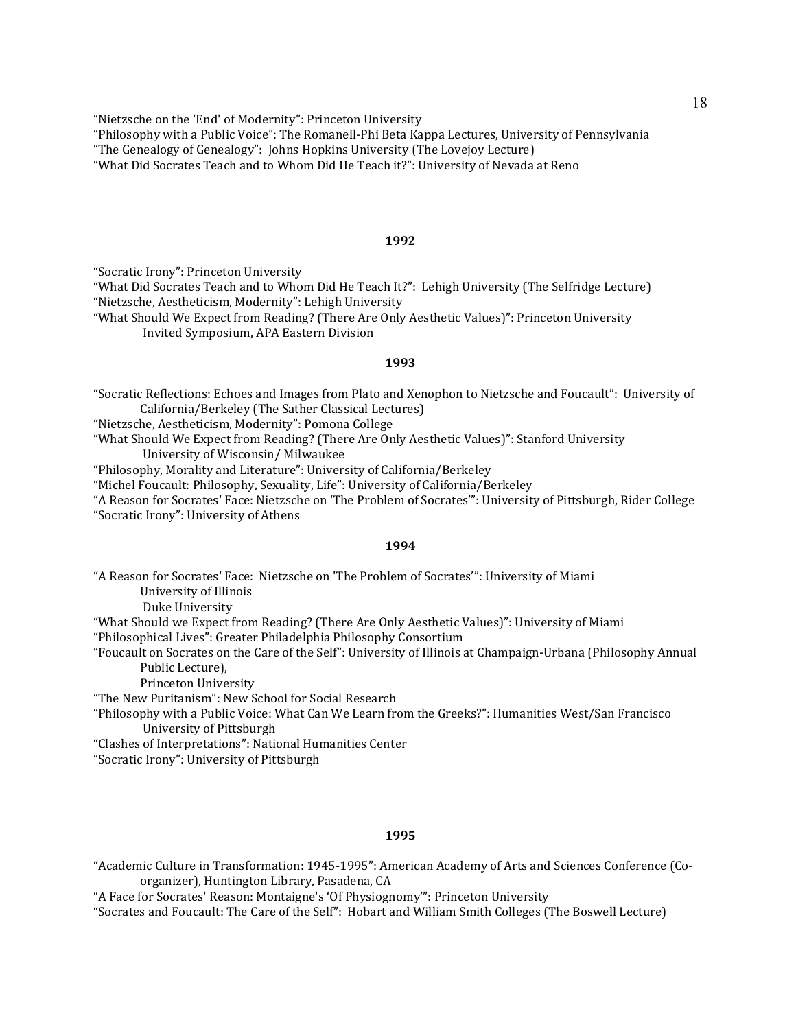"Nietzsche on the 'End' of Modernity": Princeton University "Philosophy with a Public Voice": The Romanell-Phi Beta Kappa Lectures, University of Pennsylvania "The Genealogy of Genealogy": Johns Hopkins University (The Lovejoy Lecture) "What Did Socrates Teach and to Whom Did He Teach it?": University of Nevada at Reno

### **1992**

"Socratic Irony": Princeton University

"What Did Socrates Teach and to Whom Did He Teach It?": Lehigh University (The Selfridge Lecture) "Nietzsche, Aestheticism, Modernity": Lehigh University

"What Should We Expect from Reading? (There Are Only Aesthetic Values)": Princeton University Invited Symposium, APA Eastern Division

### **1993**

"Socratic Reflections: Echoes and Images from Plato and Xenophon to Nietzsche and Foucault": University of California/Berkeley (The Sather Classical Lectures)

"Nietzsche, Aestheticism, Modernity": Pomona College

"What Should We Expect from Reading? (There Are Only Aesthetic Values)": Stanford University University of Wisconsin/ Milwaukee

"Philosophy, Morality and Literature": University of California/Berkeley

"Michel Foucault: Philosophy, Sexuality, Life": University of California/Berkeley

"A Reason for Socrates' Face: Nietzsche on 'The Problem of Socrates'": University of Pittsburgh, Rider College "Socratic Irony": University of Athens

### **1994**

"A Reason for Socrates' Face: Nietzsche on 'The Problem of Socrates'": University of Miami University of Illinois

Duke University

"What Should we Expect from Reading? (There Are Only Aesthetic Values)": University of Miami

"Philosophical Lives": Greater Philadelphia Philosophy Consortium

"Foucault on Socrates on the Care of the Self": University of Illinois at Champaign-Urbana (Philosophy Annual Public Lecture),

Princeton University

"The New Puritanism": New School for Social Research

"Philosophy with a Public Voice: What Can We Learn from the Greeks?": Humanities West/San Francisco University of Pittsburgh

"Clashes of Interpretations": National Humanities Center

"Socratic Irony": University of Pittsburgh

### **1995**

"Academic Culture in Transformation: 1945-1995": American Academy of Arts and Sciences Conference (Coorganizer), Huntington Library, Pasadena, CA

"A Face for Socrates' Reason: Montaigne's 'Of Physiognomy'": Princeton University

"Socrates and Foucault: The Care of the Self": Hobart and William Smith Colleges (The Boswell Lecture)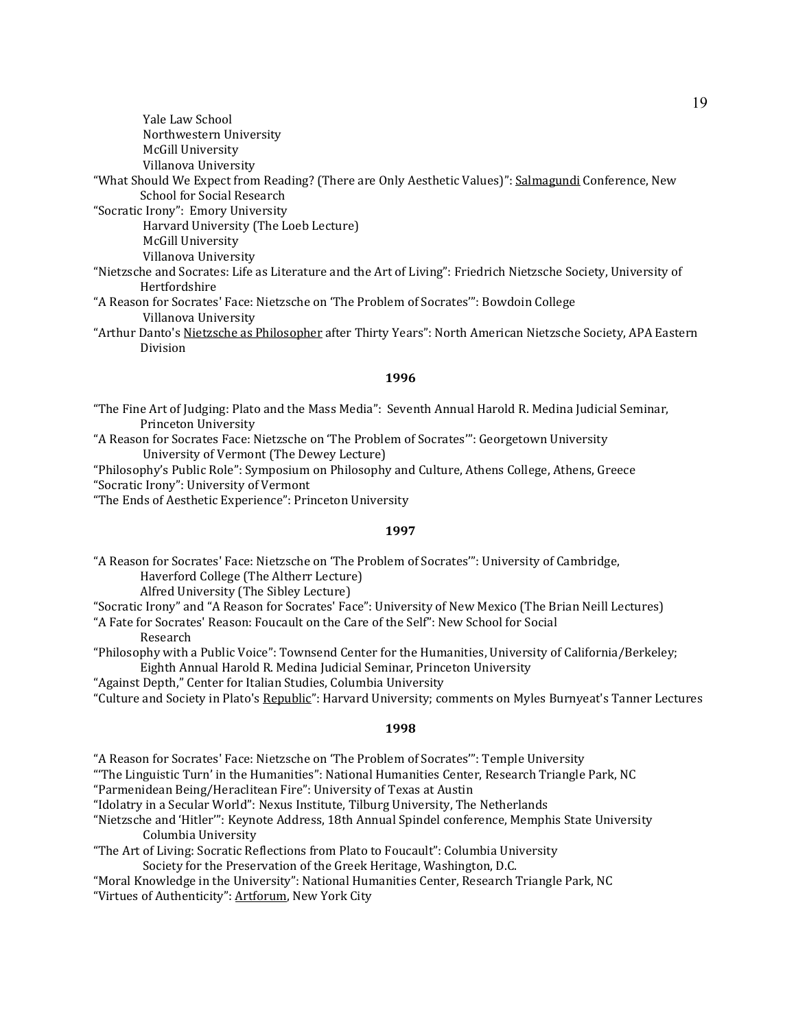| Yale Law School                                                                                                    |
|--------------------------------------------------------------------------------------------------------------------|
| Northwestern University                                                                                            |
| <b>McGill University</b>                                                                                           |
| Villanova University                                                                                               |
| "What Should We Expect from Reading? (There are Only Aesthetic Values)": <u>Salmagundi</u> Conference, New         |
| <b>School for Social Research</b>                                                                                  |
| "Socratic Irony": Emory University                                                                                 |
| Harvard University (The Loeb Lecture)                                                                              |
| <b>McGill University</b>                                                                                           |
| Villanova University                                                                                               |
| "Nietzsche and Socrates: Life as Literature and the Art of Living": Friedrich Nietzsche Society, University of     |
| Hertfordshire                                                                                                      |
| "A Reason for Socrates' Face: Nietzsche on 'The Problem of Socrates'": Bowdoin College                             |
| Villanova University                                                                                               |
| "Arthur Danto's <u>Nietzsche as Philosopher</u> after Thirty Years": North American Nietzsche Society, APA Eastern |
| Division                                                                                                           |
|                                                                                                                    |

### **1996**

- "The Fine Art of Judging: Plato and the Mass Media": Seventh Annual Harold R. Medina Judicial Seminar, Princeton University
- "A Reason for Socrates Face: Nietzsche on 'The Problem of Socrates'": Georgetown University University of Vermont (The Dewey Lecture)

"Philosophy's Public Role": Symposium on Philosophy and Culture, Athens College, Athens, Greece "Socratic Irony": University of Vermont

"The Ends of Aesthetic Experience": Princeton University

#### **1997**

"A Reason for Socrates' Face: Nietzsche on 'The Problem of Socrates'": University of Cambridge, Haverford College (The Altherr Lecture)

Alfred University (The Sibley Lecture)

"Socratic Irony" and "A Reason for Socrates' Face": University of New Mexico (The Brian Neill Lectures)

- "A Fate for Socrates' Reason: Foucault on the Care of the Self": New School for Social Research
- "Philosophy with a Public Voice": Townsend Center for the Humanities, University of California/Berkeley; Eighth Annual Harold R. Medina Judicial Seminar, Princeton University

"Against Depth," Center for Italian Studies, Columbia University

"Culture and Society in Plato's Republic": Harvard University; comments on Myles Burnyeat's Tanner Lectures

### **1998**

"A Reason for Socrates' Face: Nietzsche on 'The Problem of Socrates'": Temple University

"'The Linguistic Turn' in the Humanities": National Humanities Center, Research Triangle Park, NC

"Parmenidean Being/Heraclitean Fire": University of Texas at Austin

"Idolatry in a Secular World": Nexus Institute, Tilburg University, The Netherlands

"Nietzsche and 'Hitler'": Keynote Address, 18th Annual Spindel conference, Memphis State University Columbia University

"The Art of Living: Socratic Reflections from Plato to Foucault": Columbia University Society for the Preservation of the Greek Heritage, Washington, D.C.

"Moral Knowledge in the University": National Humanities Center, Research Triangle Park, NC

"Virtues of Authenticity": Artforum, New York City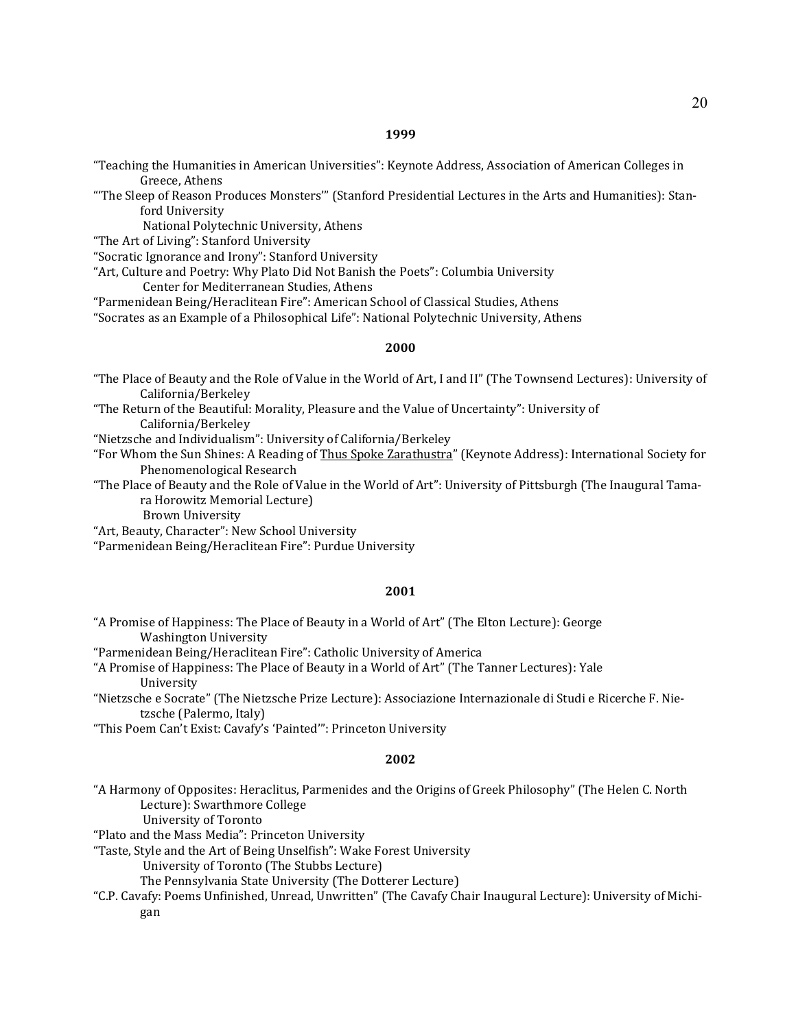"Teaching the Humanities in American Universities": Keynote Address, Association of American Colleges in Greece, Athens

"'The Sleep of Reason Produces Monsters'" (Stanford Presidential Lectures in the Arts and Humanities): Stanford University

National Polytechnic University, Athens

"The Art of Living": Stanford University

"Socratic Ignorance and Irony": Stanford University

"Art, Culture and Poetry: Why Plato Did Not Banish the Poets": Columbia University

Center for Mediterranean Studies, Athens

"Parmenidean Being/Heraclitean Fire": American School of Classical Studies, Athens

"Socrates as an Example of a Philosophical Life": National Polytechnic University, Athens

### **2000**

"The Place of Beauty and the Role of Value in the World of Art, I and II" (The Townsend Lectures): University of California/Berkeley

"The Return of the Beautiful: Morality, Pleasure and the Value of Uncertainty": University of California/Berkeley

"Nietzsche and Individualism": University of California/Berkeley

"For Whom the Sun Shines: A Reading of Thus Spoke Zarathustra" (Keynote Address): International Society for Phenomenological Research

"The Place of Beauty and the Role of Value in the World of Art": University of Pittsburgh (The Inaugural Tamara Horowitz Memorial Lecture)

Brown University

"Art, Beauty, Character": New School University

"Parmenidean Being/Heraclitean Fire": Purdue University

#### **2001**

"A Promise of Happiness: The Place of Beauty in a World of Art" (The Elton Lecture): George Washington University

"Parmenidean Being/Heraclitean Fire": Catholic University of America

"A Promise of Happiness: The Place of Beauty in a World of Art" (The Tanner Lectures): Yale University

"Nietzsche e Socrate" (The Nietzsche Prize Lecture): Associazione Internazionale di Studi e Ricerche F. Nietzsche (Palermo, Italy)

"This Poem Can't Exist: Cavafy's 'Painted'": Princeton University

# **2002**

"A Harmony of Opposites: Heraclitus, Parmenides and the Origins of Greek Philosophy" (The Helen C. North Lecture): Swarthmore College

University of Toronto

"Plato and the Mass Media": Princeton University

"Taste, Style and the Art of Being Unselfish": Wake Forest University

University of Toronto (The Stubbs Lecture)

The Pennsylvania State University (The Dotterer Lecture)

"C.P. Cavafy: Poems Unfinished, Unread, Unwritten" (The Cavafy Chair Inaugural Lecture): University of Michigan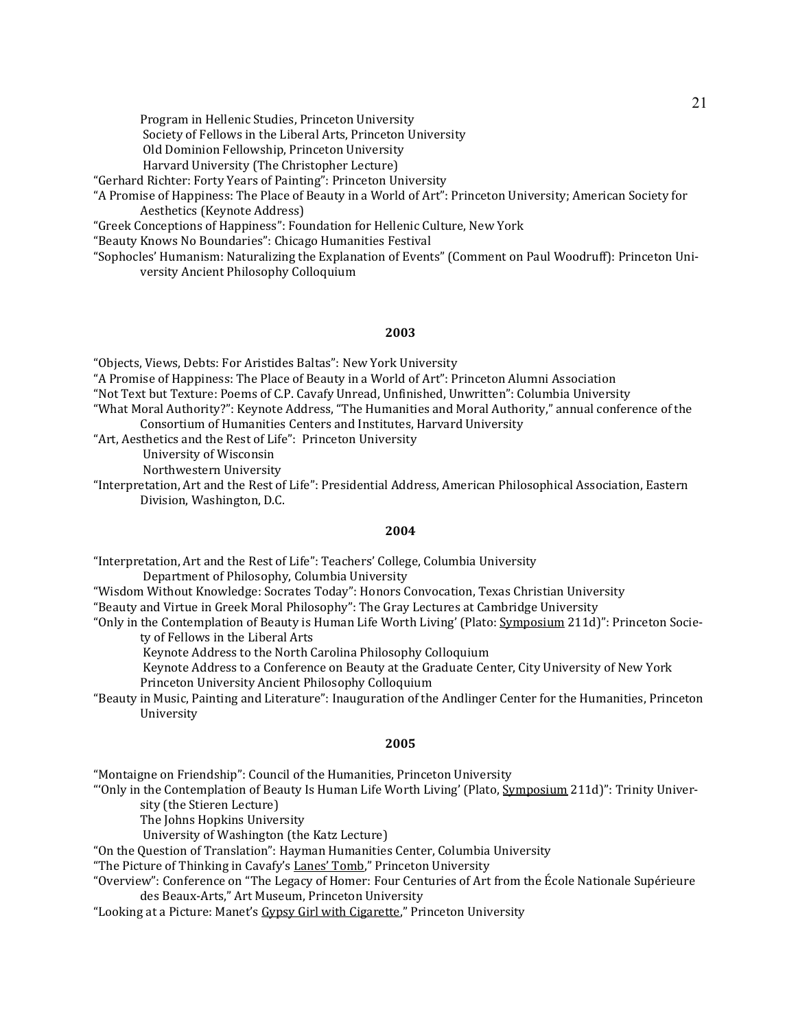Program in Hellenic Studies, Princeton University

Society of Fellows in the Liberal Arts, Princeton University

Old Dominion Fellowship, Princeton University

Harvard University (The Christopher Lecture)

"Gerhard Richter: Forty Years of Painting": Princeton University

"A Promise of Happiness: The Place of Beauty in a World of Art": Princeton University; American Society for Aesthetics (Keynote Address)

"Greek Conceptions of Happiness": Foundation for Hellenic Culture, New York

"Beauty Knows No Boundaries": Chicago Humanities Festival

"Sophocles' Humanism: Naturalizing the Explanation of Events" (Comment on Paul Woodruff): Princeton University Ancient Philosophy Colloquium

#### **2003**

"Objects, Views, Debts: For Aristides Baltas": New York University

"A Promise of Happiness: The Place of Beauty in a World of Art": Princeton Alumni Association

- "Not Text but Texture: Poems of C.P. Cavafy Unread, Unfinished, Unwritten": Columbia University
- "What Moral Authority?": Keynote Address, "The Humanities and Moral Authority," annual conference of the Consortium of Humanities Centers and Institutes, Harvard University

"Art, Aesthetics and the Rest of Life": Princeton University

University of Wisconsin

Northwestern University

"Interpretation, Art and the Rest of Life": Presidential Address, American Philosophical Association, Eastern Division, Washington, D.C.

### **2004**

"Interpretation, Art and the Rest of Life": Teachers' College, Columbia University

Department of Philosophy, Columbia University

"Wisdom Without Knowledge: Socrates Today": Honors Convocation, Texas Christian University

"Beauty and Virtue in Greek Moral Philosophy": The Gray Lectures at Cambridge University

"Only in the Contemplation of Beauty is Human Life Worth Living' (Plato: Symposium 211d)": Princeton Society of Fellows in the Liberal Arts

Keynote Address to the North Carolina Philosophy Colloquium

Keynote Address to a Conference on Beauty at the Graduate Center, City University of New York Princeton University Ancient Philosophy Colloquium

"Beauty in Music, Painting and Literature": Inauguration of the Andlinger Center for the Humanities, Princeton University

#### **2005**

"Montaigne on Friendship": Council of the Humanities, Princeton University

"Only in the Contemplation of Beauty Is Human Life Worth Living' (Plato, Symposium 211d)": Trinity University (the Stieren Lecture)

The Johns Hopkins University

University of Washington (the Katz Lecture)

"On the Question of Translation": Hayman Humanities Center, Columbia University

"The Picture of Thinking in Cavafy's Lanes' Tomb," Princeton University

"Overview": Conference on "The Legacy of Homer: Four Centuries of Art from the École Nationale Supérieure des Beaux-Arts," Art Museum, Princeton University

"Looking at a Picture: Manet's Gypsy Girl with Cigarette," Princeton University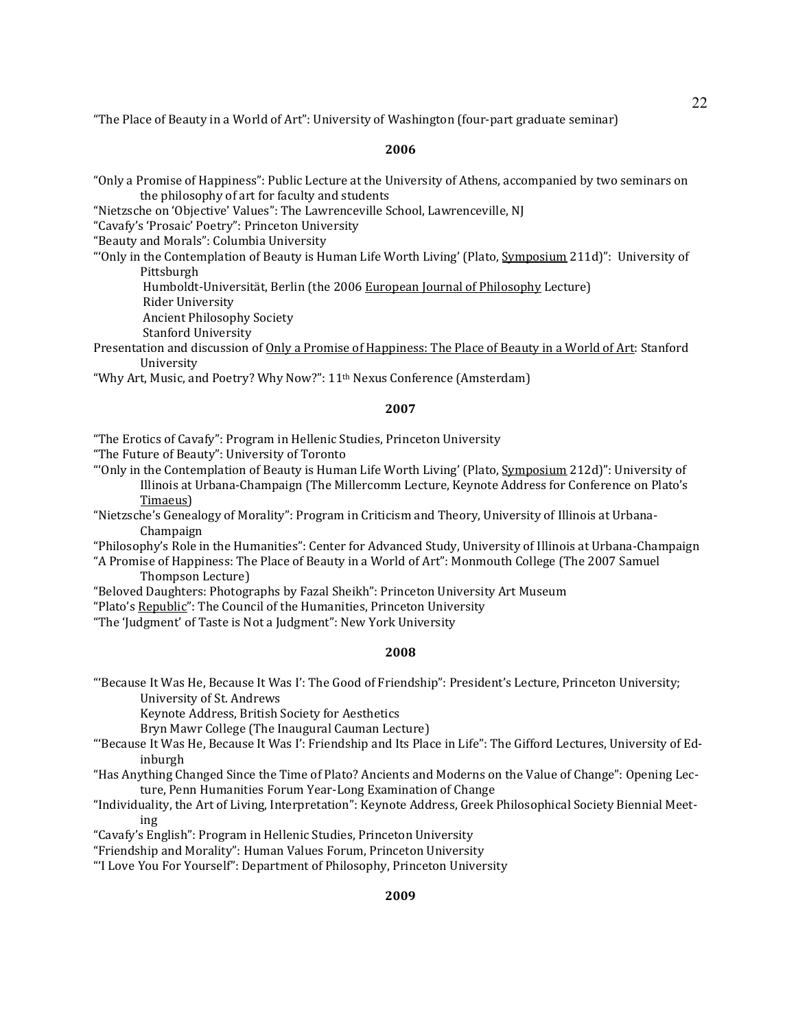"The Place of Beauty in a World of Art": University of Washington (four-part graduate seminar)

### **2006**

"Only a Promise of Happiness": Public Lecture at the University of Athens, accompanied by two seminars on the philosophy of art for faculty and students

"Nietzsche on 'Objective' Values": The Lawrenceville School, Lawrenceville, NJ

"Cavafy's 'Prosaic' Poetry": Princeton University

"Beauty and Morals": Columbia University

- "'Only in the Contemplation of Beauty is Human Life Worth Living' (Plato, Symposium 211d)": University of Pittsburgh
	- Humboldt-Universität, Berlin (the 2006 European Journal of Philosophy Lecture)
	- Rider University

Ancient Philosophy Society

- Stanford University
- Presentation and discussion of Only a Promise of Happiness: The Place of Beauty in a World of Art: Stanford University

"Why Art, Music, and Poetry? Why Now?": 11<sup>th</sup> Nexus Conference (Amsterdam)

### **2007**

"The Erotics of Cavafy": Program in Hellenic Studies, Princeton University

"The Future of Beauty": University of Toronto

"Only in the Contemplation of Beauty is Human Life Worth Living' (Plato, Symposium 212d)": University of Illinois at Urbana-Champaign (The Millercomm Lecture, Keynote Address for Conference on Plato's Timaeus)

"Nietzsche's Genealogy of Morality": Program in Criticism and Theory, University of Illinois at Urbana-Champaign

"Philosophy's Role in the Humanities": Center for Advanced Study, University of Illinois at Urbana-Champaign "A Promise of Happiness: The Place of Beauty in a World of Art": Monmouth College (The 2007 Samuel

Thompson Lecture)

"Beloved Daughters: Photographs by Fazal Sheikh": Princeton University Art Museum

"Plato's Republic": The Council of the Humanities, Princeton University

"The 'Judgment' of Taste is Not a Judgment": New York University

#### **2008**

"'Because It Was He, Because It Was I': The Good of Friendship": President's Lecture, Princeton University; University of St. Andrews

Keynote Address, British Society for Aesthetics

Bryn Mawr College (The Inaugural Cauman Lecture)

- "'Because It Was He, Because It Was I': Friendship and Its Place in Life": The Gifford Lectures, University of Edinburgh
- "Has Anything Changed Since the Time of Plato? Ancients and Moderns on the Value of Change": Opening Lecture, Penn Humanities Forum Year-Long Examination of Change
- "Individuality, the Art of Living, Interpretation": Keynote Address, Greek Philosophical Society Biennial Meeting
- "Cavafy's English": Program in Hellenic Studies, Princeton University

"Friendship and Morality": Human Values Forum, Princeton University

"'I Love You For Yourself": Department of Philosophy, Princeton University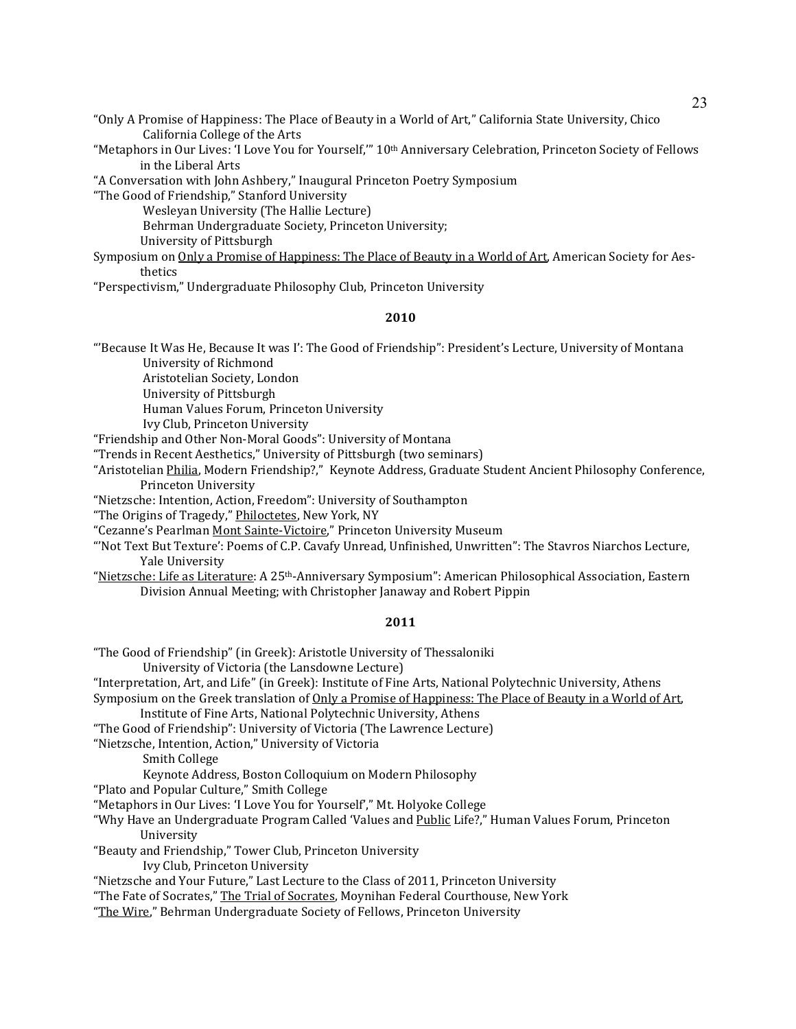"Only A Promise of Happiness: The Place of Beauty in a World of Art," California State University, Chico California College of the Arts

"Metaphors in Our Lives: 'I Love You for Yourself,'" 10<sup>th</sup> Anniversary Celebration, Princeton Society of Fellows in the Liberal Arts

"A Conversation with John Ashbery," Inaugural Princeton Poetry Symposium

"The Good of Friendship," Stanford University

Wesleyan University (The Hallie Lecture) Behrman Undergraduate Society, Princeton University; University of Pittsburgh

Symposium on Only a Promise of Happiness: The Place of Beauty in a World of Art, American Society for Aesthetics

"Perspectivism," Undergraduate Philosophy Club, Princeton University

### **2010**

"'Because It Was He, Because It was I': The Good of Friendship": President's Lecture, University of Montana University of Richmond

Aristotelian Society, London

University of Pittsburgh

Human Values Forum, Princeton University

Ivy Club, Princeton University

"Friendship and Other Non-Moral Goods": University of Montana

"Trends in Recent Aesthetics," University of Pittsburgh (two seminars)

"Aristotelian Philia, Modern Friendship?," Keynote Address, Graduate Student Ancient Philosophy Conference, Princeton University

"Nietzsche: Intention, Action, Freedom": University of Southampton

"The Origins of Tragedy," Philoctetes, New York, NY

"Cezanne's Pearlman Mont Sainte-Victoire," Princeton University Museum

"'Not Text But Texture': Poems of C.P. Cavafy Unread, Unfinished, Unwritten": The Stavros Niarchos Lecture, Yale University

"Nietzsche: Life as Literature: A 25th-Anniversary Symposium": American Philosophical Association, Eastern Division Annual Meeting; with Christopher Janaway and Robert Pippin

# **2011**

"The Good of Friendship" (in Greek): Aristotle University of Thessaloniki University of Victoria (the Lansdowne Lecture) "Interpretation, Art, and Life" (in Greek): Institute of Fine Arts, National Polytechnic University, Athens Symposium on the Greek translation of Only a Promise of Happiness: The Place of Beauty in a World of Art, Institute of Fine Arts, National Polytechnic University, Athens "The Good of Friendship": University of Victoria (The Lawrence Lecture) "Nietzsche, Intention, Action," University of Victoria Smith College Keynote Address, Boston Colloquium on Modern Philosophy "Plato and Popular Culture," Smith College "Metaphors in Our Lives: 'I Love You for Yourself'," Mt. Holyoke College "Why Have an Undergraduate Program Called 'Values and Public Life?," Human Values Forum, Princeton University "Beauty and Friendship," Tower Club, Princeton University Ivy Club, Princeton University "Nietzsche and Your Future," Last Lecture to the Class of 2011, Princeton University "The Fate of Socrates," The Trial of Socrates, Moynihan Federal Courthouse, New York

"The Wire," Behrman Undergraduate Society of Fellows, Princeton University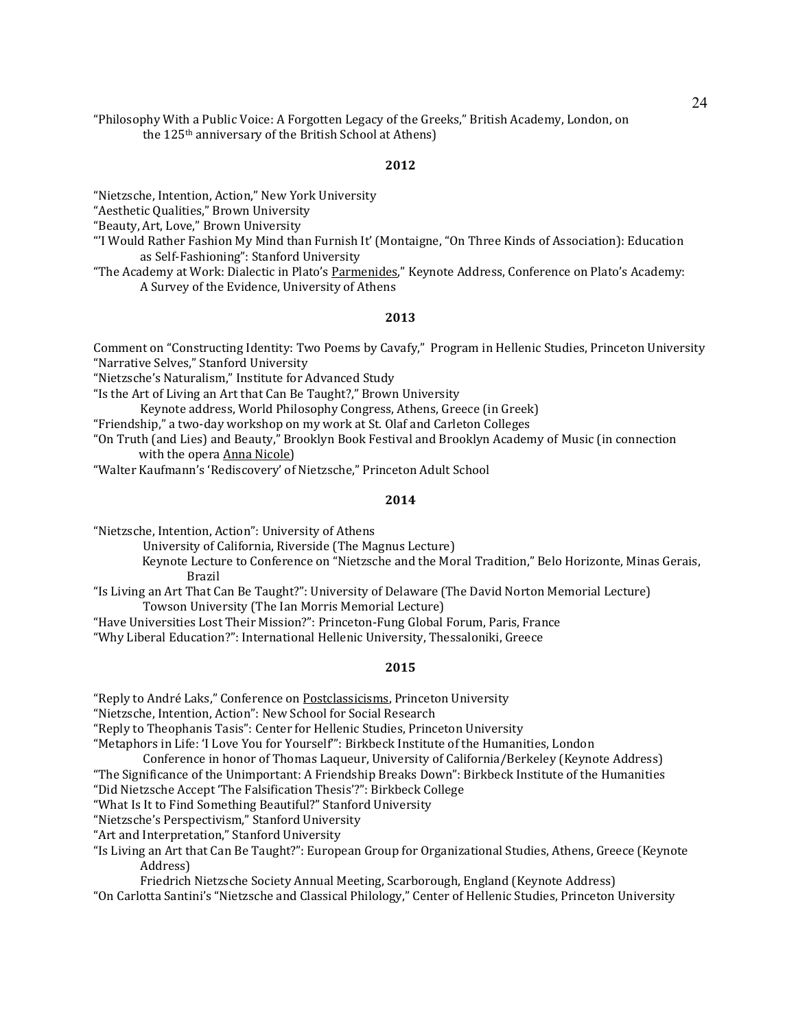"Philosophy With a Public Voice: A Forgotten Legacy of the Greeks," British Academy, London, on the 125th anniversary of the British School at Athens)

# **2012**

"Nietzsche, Intention, Action," New York University

"Aesthetic Qualities," Brown University

"Beauty, Art, Love," Brown University

"'I Would Rather Fashion My Mind than Furnish It' (Montaigne, "On Three Kinds of Association): Education as Self-Fashioning": Stanford University

"The Academy at Work: Dialectic in Plato's Parmenides," Keynote Address, Conference on Plato's Academy: A Survey of the Evidence, University of Athens

### **2013**

Comment on "Constructing Identity: Two Poems by Cavafy," Program in Hellenic Studies, Princeton University "Narrative Selves," Stanford University

"Nietzsche's Naturalism," Institute for Advanced Study

"Is the Art of Living an Art that Can Be Taught?," Brown University

Keynote address, World Philosophy Congress, Athens, Greece (in Greek)

"Friendship," a two-day workshop on my work at St. Olaf and Carleton Colleges

"On Truth (and Lies) and Beauty," Brooklyn Book Festival and Brooklyn Academy of Music (in connection with the opera Anna Nicole)

"Walter Kaufmann's 'Rediscovery' of Nietzsche," Princeton Adult School

# **2014**

"Nietzsche, Intention, Action": University of Athens

University of California, Riverside (The Magnus Lecture)

 Keynote Lecture to Conference on "Nietzsche and the Moral Tradition," Belo Horizonte, Minas Gerais, Brazil

"Ιs Living an Art That Can Be Taught?": University of Delaware (The David Norton Memorial Lecture) Towson University (The Ian Morris Memorial Lecture)

"Have Universities Lost Their Mission?": Princeton-Fung Global Forum, Paris, France

"Why Liberal Education?": International Hellenic University, Thessaloniki, Greece

#### **2015**

"Reply to André Laks," Conference on Postclassicisms, Princeton University

"Nietzsche, Intention, Action": New School for Social Research

"Reply to Theophanis Tasis": Center for Hellenic Studies, Princeton University

"Metaphors in Life: 'I Love You for Yourself'": Birkbeck Institute of the Humanities, London

Conference in honor of Thomas Laqueur, University of California/Berkeley (Keynote Address)

"The Significance of the Unimportant: A Friendship Breaks Down": Birkbeck Institute of the Humanities

"Did Nietzsche Accept 'The Falsification Thesis'?": Birkbeck College

"What Is It to Find Something Beautiful?" Stanford University

"Nietzsche's Perspectivism," Stanford University

"Art and Interpretation," Stanford University

"Is Living an Art that Can Be Taught?": European Group for Organizational Studies, Athens, Greece (Keynote Address)

Friedrich Nietzsche Society Annual Meeting, Scarborough, England (Keynote Address)

"On Carlotta Santini's "Nietzsche and Classical Philology," Center of Hellenic Studies, Princeton University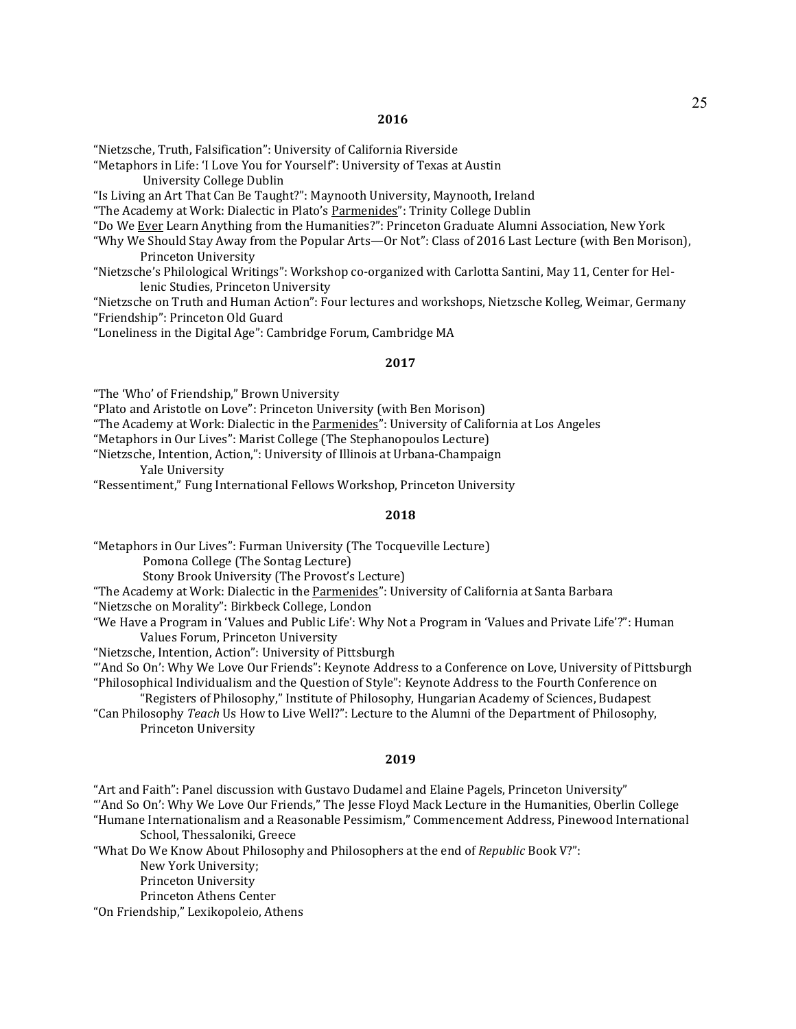"Nietzsche, Truth, Falsification": University of California Riverside

"Metaphors in Life: 'I Love You for Yourself": University of Texas at Austin

University College Dublin

"Is Living an Art That Can Be Taught?": Maynooth University, Maynooth, Ireland

"The Academy at Work: Dialectic in Plato's Parmenides": Trinity College Dublin

"Do We Ever Learn Anything from the Humanities?": Princeton Graduate Alumni Association, New York

"Why We Should Stay Away from the Popular Arts—Or Not": Class of 2016 Last Lecture (with Ben Morison), Princeton University

"Nietzsche's Philological Writings": Workshop co-organized with Carlotta Santini, May 11, Center for Hellenic Studies, Princeton University

"Nietzsche on Truth and Human Action": Four lectures and workshops, Nietzsche Kolleg, Weimar, Germany "Friendship": Princeton Old Guard

"Loneliness in the Digital Age": Cambridge Forum, Cambridge MA

#### **2017**

"The 'Who' of Friendship," Brown University

"Plato and Aristotle on Love": Princeton University (with Ben Morison)

"The Academy at Work: Dialectic in the Parmenides": University of California at Los Angeles

"Metaphors in Our Lives": Marist College (The Stephanopoulos Lecture)

"Nietzsche, Intention, Action,": University of Illinois at Urbana-Champaign Yale University

"Ressentiment," Fung International Fellows Workshop, Princeton University

### **2018**

"Metaphors in Our Lives": Furman University (The Tocqueville Lecture)

Pomona College (The Sontag Lecture)

Stony Brook University (The Provost's Lecture)

"The Academy at Work: Dialectic in the Parmenides": University of California at Santa Barbara

"Nietzsche on Morality": Birkbeck College, London

"We Have a Program in 'Values and Public Life': Why Not a Program in 'Values and Private Life'?": Human Values Forum, Princeton University

"Nietzsche, Intention, Action": University of Pittsburgh

"'And So On': Why We Love Our Friends": Keynote Address to a Conference on Love, University of Pittsburgh "Philosophical Individualism and the Question of Style": Keynote Address to the Fourth Conference on

"Registers of Philosophy," Institute of Philosophy, Hungarian Academy of Sciences, Budapest "Can Philosophy *Teach* Us How to Live Well?": Lecture to the Alumni of the Department of Philosophy,

Princeton University

#### **2019**

"Art and Faith": Panel discussion with Gustavo Dudamel and Elaine Pagels, Princeton University"

"'And So On': Why We Love Our Friends," The Jesse Floyd Mack Lecture in the Humanities, Oberlin College

"Humane Internationalism and a Reasonable Pessimism," Commencement Address, Pinewood International School, Thessaloniki, Greece

"What Do We Know About Philosophy and Philosophers at the end of *Republic* Book V?": New York University;

Princeton University

Princeton Athens Center

"On Friendship," Lexikopoleio, Athens